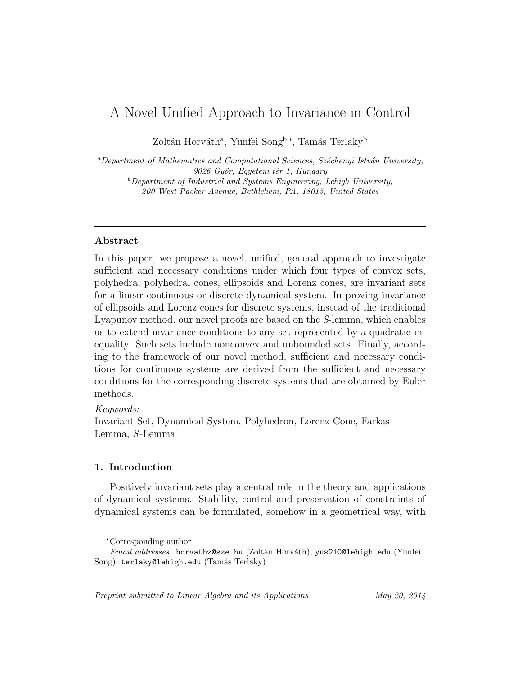# A Novel Unified Approach to Invariance in Control

Zoltán Horváth<sup>a</sup>, Yunfei Song<sup>b,∗</sup>, Tamás Terlaky<sup>b</sup>

 $a$ Department of Mathematics and Computational Sciences, Széchenyi István University, 9026 Győr, Egyetem tér 1, Hungary  $b$ Department of Industrial and Systems Engineering, Lehigh University, 200 West Packer Avenue, Bethlehem, PA, 18015, United States

# Abstract

In this paper, we propose a novel, unified, general approach to investigate sufficient and necessary conditions under which four types of convex sets, polyhedra, polyhedral cones, ellipsoids and Lorenz cones, are invariant sets for a linear continuous or discrete dynamical system. In proving invariance of ellipsoids and Lorenz cones for discrete systems, instead of the traditional Lyapunov method, our novel proofs are based on the S-lemma, which enables us to extend invariance conditions to any set represented by a quadratic inequality. Such sets include nonconvex and unbounded sets. Finally, according to the framework of our novel method, sufficient and necessary conditions for continuous systems are derived from the sufficient and necessary conditions for the corresponding discrete systems that are obtained by Euler methods.

# Keywords:

Invariant Set, Dynamical System, Polyhedron, Lorenz Cone, Farkas Lemma, S-Lemma

### 1. Introduction

Positively invariant sets play a central role in the theory and applications of dynamical systems. Stability, control and preservation of constraints of dynamical systems can be formulated, somehow in a geometrical way, with

Preprint submitted to Linear Algebra and its Applications May 20, 2014

<sup>∗</sup>Corresponding author

Email addresses: horvathz@sze.hu (Zoltán Horváth), yus210@lehigh.edu (Yunfei Song), terlaky@lehigh.edu (Tamás Terlaky)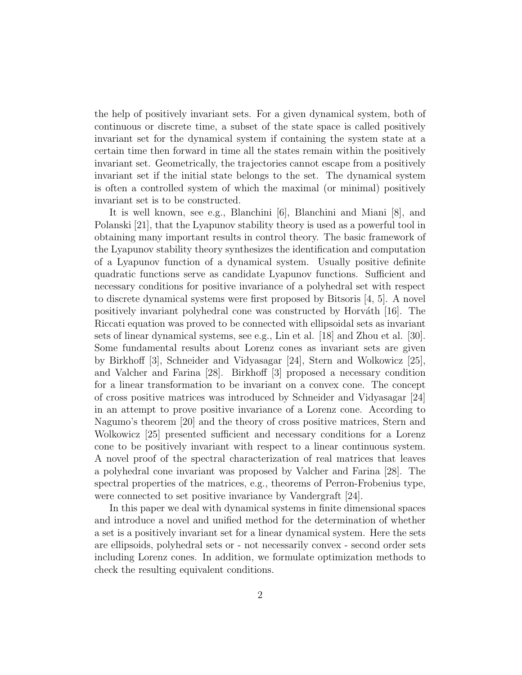the help of positively invariant sets. For a given dynamical system, both of continuous or discrete time, a subset of the state space is called positively invariant set for the dynamical system if containing the system state at a certain time then forward in time all the states remain within the positively invariant set. Geometrically, the trajectories cannot escape from a positively invariant set if the initial state belongs to the set. The dynamical system is often a controlled system of which the maximal (or minimal) positively invariant set is to be constructed.

It is well known, see e.g., Blanchini [6], Blanchini and Miani [8], and Polanski [21], that the Lyapunov stability theory is used as a powerful tool in obtaining many important results in control theory. The basic framework of the Lyapunov stability theory synthesizes the identification and computation of a Lyapunov function of a dynamical system. Usually positive definite quadratic functions serve as candidate Lyapunov functions. Sufficient and necessary conditions for positive invariance of a polyhedral set with respect to discrete dynamical systems were first proposed by Bitsoris [4, 5]. A novel positively invariant polyhedral cone was constructed by Horváth  $[16]$ . The Riccati equation was proved to be connected with ellipsoidal sets as invariant sets of linear dynamical systems, see e.g., Lin et al. [18] and Zhou et al. [30]. Some fundamental results about Lorenz cones as invariant sets are given by Birkhoff [3], Schneider and Vidyasagar [24], Stern and Wolkowicz [25], and Valcher and Farina [28]. Birkhoff [3] proposed a necessary condition for a linear transformation to be invariant on a convex cone. The concept of cross positive matrices was introduced by Schneider and Vidyasagar [24] in an attempt to prove positive invariance of a Lorenz cone. According to Nagumo's theorem [20] and the theory of cross positive matrices, Stern and Wolkowicz [25] presented sufficient and necessary conditions for a Lorenz cone to be positively invariant with respect to a linear continuous system. A novel proof of the spectral characterization of real matrices that leaves a polyhedral cone invariant was proposed by Valcher and Farina [28]. The spectral properties of the matrices, e.g., theorems of Perron-Frobenius type, were connected to set positive invariance by Vandergraft [24].

In this paper we deal with dynamical systems in finite dimensional spaces and introduce a novel and unified method for the determination of whether a set is a positively invariant set for a linear dynamical system. Here the sets are ellipsoids, polyhedral sets or - not necessarily convex - second order sets including Lorenz cones. In addition, we formulate optimization methods to check the resulting equivalent conditions.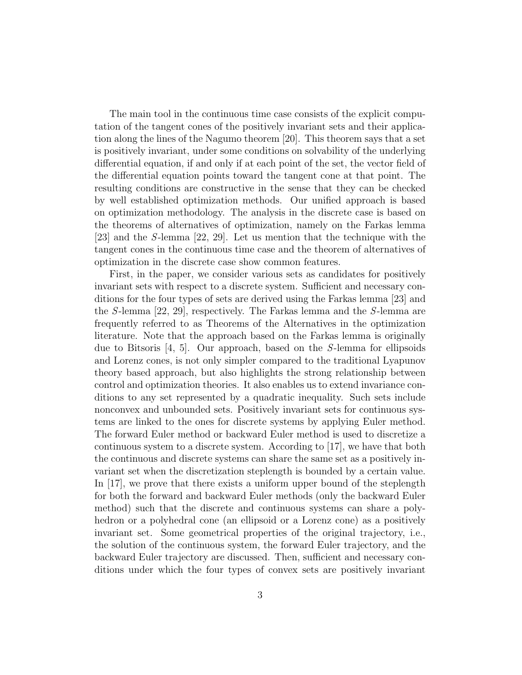The main tool in the continuous time case consists of the explicit computation of the tangent cones of the positively invariant sets and their application along the lines of the Nagumo theorem [20]. This theorem says that a set is positively invariant, under some conditions on solvability of the underlying differential equation, if and only if at each point of the set, the vector field of the differential equation points toward the tangent cone at that point. The resulting conditions are constructive in the sense that they can be checked by well established optimization methods. Our unified approach is based on optimization methodology. The analysis in the discrete case is based on the theorems of alternatives of optimization, namely on the Farkas lemma [23] and the S-lemma [22, 29]. Let us mention that the technique with the tangent cones in the continuous time case and the theorem of alternatives of optimization in the discrete case show common features.

First, in the paper, we consider various sets as candidates for positively invariant sets with respect to a discrete system. Sufficient and necessary conditions for the four types of sets are derived using the Farkas lemma [23] and the S-lemma [22, 29], respectively. The Farkas lemma and the S-lemma are frequently referred to as Theorems of the Alternatives in the optimization literature. Note that the approach based on the Farkas lemma is originally due to Bitsoris [4, 5]. Our approach, based on the S-lemma for ellipsoids and Lorenz cones, is not only simpler compared to the traditional Lyapunov theory based approach, but also highlights the strong relationship between control and optimization theories. It also enables us to extend invariance conditions to any set represented by a quadratic inequality. Such sets include nonconvex and unbounded sets. Positively invariant sets for continuous systems are linked to the ones for discrete systems by applying Euler method. The forward Euler method or backward Euler method is used to discretize a continuous system to a discrete system. According to [17], we have that both the continuous and discrete systems can share the same set as a positively invariant set when the discretization steplength is bounded by a certain value. In [17], we prove that there exists a uniform upper bound of the steplength for both the forward and backward Euler methods (only the backward Euler method) such that the discrete and continuous systems can share a polyhedron or a polyhedral cone (an ellipsoid or a Lorenz cone) as a positively invariant set. Some geometrical properties of the original trajectory, i.e., the solution of the continuous system, the forward Euler trajectory, and the backward Euler trajectory are discussed. Then, sufficient and necessary conditions under which the four types of convex sets are positively invariant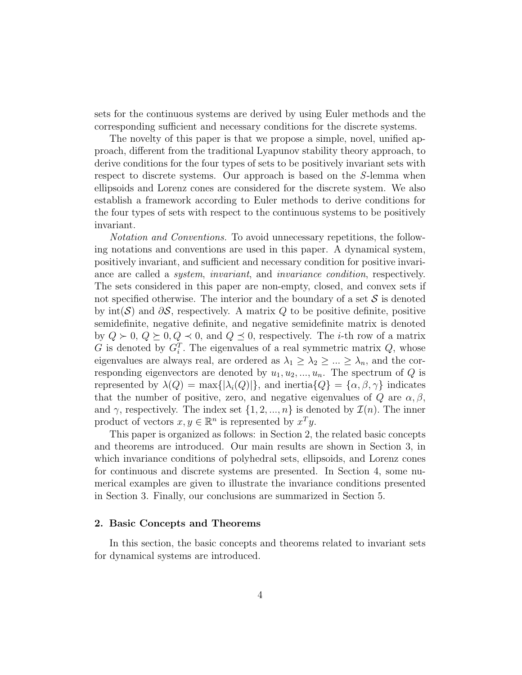sets for the continuous systems are derived by using Euler methods and the corresponding sufficient and necessary conditions for the discrete systems.

The novelty of this paper is that we propose a simple, novel, unified approach, different from the traditional Lyapunov stability theory approach, to derive conditions for the four types of sets to be positively invariant sets with respect to discrete systems. Our approach is based on the S-lemma when ellipsoids and Lorenz cones are considered for the discrete system. We also establish a framework according to Euler methods to derive conditions for the four types of sets with respect to the continuous systems to be positively invariant.

Notation and Conventions. To avoid unnecessary repetitions, the following notations and conventions are used in this paper. A dynamical system, positively invariant, and sufficient and necessary condition for positive invariance are called a system, invariant, and invariance condition, respectively. The sets considered in this paper are non-empty, closed, and convex sets if not specified otherwise. The interior and the boundary of a set  $S$  is denoted by int(S) and  $\partial S$ , respectively. A matrix Q to be positive definite, positive semidefinite, negative definite, and negative semidefinite matrix is denoted by  $Q \succ 0$ ,  $Q \succeq 0$ ,  $Q \prec 0$ , and  $Q \preceq 0$ , respectively. The *i*-th row of a matrix G is denoted by  $G_i^T$ . The eigenvalues of a real symmetric matrix  $Q$ , whose eigenvalues are always real, are ordered as  $\lambda_1 \geq \lambda_2 \geq ... \geq \lambda_n$ , and the corresponding eigenvectors are denoted by  $u_1, u_2, ..., u_n$ . The spectrum of  $Q$  is represented by  $\lambda(Q) = \max\{|\lambda_i(Q)|\}$ , and inertia $\{Q\} = \{\alpha, \beta, \gamma\}$  indicates that the number of positive, zero, and negative eigenvalues of  $Q$  are  $\alpha, \beta$ , and  $\gamma$ , respectively. The index set  $\{1, 2, ..., n\}$  is denoted by  $\mathcal{I}(n)$ . The inner product of vectors  $x, y \in \mathbb{R}^n$  is represented by  $x^T y$ .

This paper is organized as follows: in Section 2, the related basic concepts and theorems are introduced. Our main results are shown in Section 3, in which invariance conditions of polyhedral sets, ellipsoids, and Lorenz cones for continuous and discrete systems are presented. In Section 4, some numerical examples are given to illustrate the invariance conditions presented in Section 3. Finally, our conclusions are summarized in Section 5.

#### 2. Basic Concepts and Theorems

In this section, the basic concepts and theorems related to invariant sets for dynamical systems are introduced.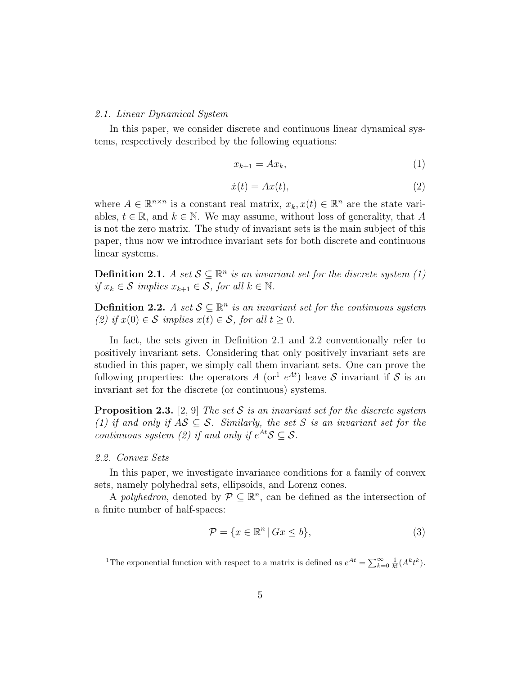#### 2.1. Linear Dynamical System

In this paper, we consider discrete and continuous linear dynamical systems, respectively described by the following equations:

$$
x_{k+1} = Ax_k,\tag{1}
$$

$$
\dot{x}(t) = Ax(t),\tag{2}
$$

where  $A \in \mathbb{R}^{n \times n}$  is a constant real matrix,  $x_k, x(t) \in \mathbb{R}^n$  are the state variables,  $t \in \mathbb{R}$ , and  $k \in \mathbb{N}$ . We may assume, without loss of generality, that A is not the zero matrix. The study of invariant sets is the main subject of this paper, thus now we introduce invariant sets for both discrete and continuous linear systems.

**Definition 2.1.** A set  $S \subseteq \mathbb{R}^n$  is an invariant set for the discrete system (1) *if*  $x_k$  ∈ S *implies*  $x_{k+1}$  ∈ S, for all  $k \in \mathbb{N}$ .

**Definition 2.2.** A set  $S \subseteq \mathbb{R}^n$  is an invariant set for the continuous system (2) if  $x(0) \in S$  implies  $x(t) \in S$ , for all  $t \geq 0$ .

In fact, the sets given in Definition 2.1 and 2.2 conventionally refer to positively invariant sets. Considering that only positively invariant sets are studied in this paper, we simply call them invariant sets. One can prove the following properties: the operators A (or<sup>1</sup>  $e^{At}$ ) leave S invariant if S is an invariant set for the discrete (or continuous) systems.

**Proposition 2.3.** [2, 9] The set S is an invariant set for the discrete system (1) if and only if  $AS \subseteq S$ . Similarly, the set S is an invariant set for the continuous system (2) if and only if  $e^{At}S \subseteq S$ .

### 2.2. Convex Sets

In this paper, we investigate invariance conditions for a family of convex sets, namely polyhedral sets, ellipsoids, and Lorenz cones.

A polyhedron, denoted by  $P \subseteq \mathbb{R}^n$ , can be defined as the intersection of a finite number of half-spaces:

$$
\mathcal{P} = \{x \in \mathbb{R}^n \,|\, Gx \le b\},\tag{3}
$$

<sup>&</sup>lt;sup>1</sup>The exponential function with respect to a matrix is defined as  $e^{At} = \sum_{k=0}^{\infty} \frac{1}{k!} (A^k t^k)$ .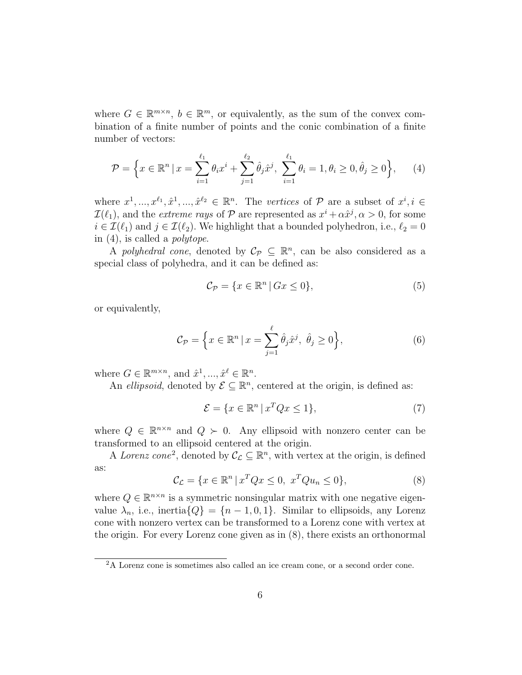where  $G \in \mathbb{R}^{m \times n}$ ,  $b \in \mathbb{R}^m$ , or equivalently, as the sum of the convex combination of a finite number of points and the conic combination of a finite number of vectors:

$$
\mathcal{P} = \left\{ x \in \mathbb{R}^n \, | \, x = \sum_{i=1}^{\ell_1} \theta_i x^i + \sum_{j=1}^{\ell_2} \hat{\theta}_j \hat{x}^j, \, \sum_{i=1}^{\ell_1} \theta_i = 1, \theta_i \ge 0, \hat{\theta}_j \ge 0 \right\},\qquad(4)
$$

where  $x^1, ..., x^{\ell_1}, \hat{x}^1, ..., \hat{x}^{\ell_2} \in \mathbb{R}^n$ . The vertices of  $\mathcal{P}$  are a subset of  $x^i, i \in$  $\mathcal{I}(\ell_1)$ , and the *extreme rays* of  $\mathcal P$  are represented as  $x^i + \alpha \hat x^j$ ,  $\alpha > 0$ , for some  $i \in \mathcal{I}(\ell_1)$  and  $j \in \mathcal{I}(\ell_2)$ . We highlight that a bounded polyhedron, i.e.,  $\ell_2 = 0$ in  $(4)$ , is called a *polytope*.

A polyhedral cone, denoted by  $\mathcal{C}_{\mathcal{P}} \subseteq \mathbb{R}^n$ , can be also considered as a special class of polyhedra, and it can be defined as:

$$
\mathcal{C}_{\mathcal{P}} = \{ x \in \mathbb{R}^n \, | \, Gx \le 0 \},\tag{5}
$$

or equivalently,

$$
\mathcal{C}_{\mathcal{P}} = \left\{ x \in \mathbb{R}^n \, | \, x = \sum_{j=1}^{\ell} \hat{\theta}_j \hat{x}^j, \ \hat{\theta}_j \ge 0 \right\},\tag{6}
$$

where  $G \in \mathbb{R}^{m \times n}$ , and  $\hat{x}^1, ..., \hat{x}^\ell \in \mathbb{R}^n$ .

An ellipsoid, denoted by  $\mathcal{E} \subseteq \mathbb{R}^n$ , centered at the origin, is defined as:

$$
\mathcal{E} = \{ x \in \mathbb{R}^n \mid x^T Q x \le 1 \},\tag{7}
$$

where  $Q \in \mathbb{R}^{n \times n}$  and  $Q \succ 0$ . Any ellipsoid with nonzero center can be transformed to an ellipsoid centered at the origin.

A Lorenz cone<sup>2</sup>, denoted by  $\mathcal{C}_{\mathcal{L}} \subseteq \mathbb{R}^n$ , with vertex at the origin, is defined as:

$$
\mathcal{C}_{\mathcal{L}} = \{ x \in \mathbb{R}^n \mid x^T Q x \le 0, \ x^T Q u_n \le 0 \},\tag{8}
$$

where  $Q \in \mathbb{R}^{n \times n}$  is a symmetric nonsingular matrix with one negative eigenvalue  $\lambda_n$ , i.e., inertia $\{Q\} = \{n-1,0,1\}$ . Similar to ellipsoids, any Lorenz cone with nonzero vertex can be transformed to a Lorenz cone with vertex at the origin. For every Lorenz cone given as in (8), there exists an orthonormal

<sup>2</sup>A Lorenz cone is sometimes also called an ice cream cone, or a second order cone.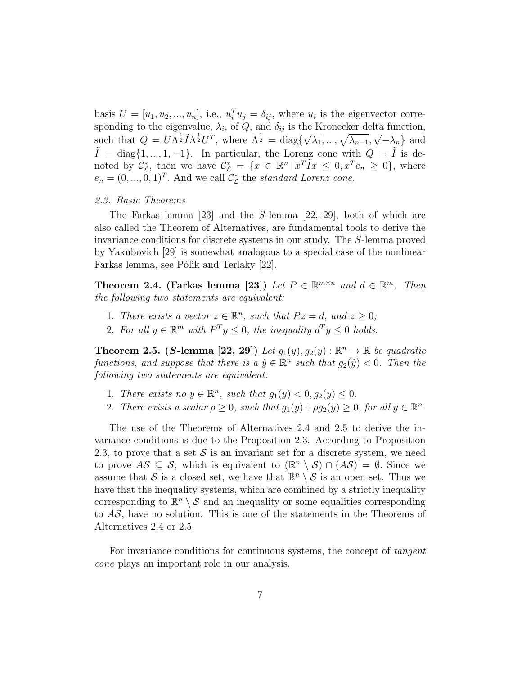basis  $U = [u_1, u_2, ..., u_n]$ , i.e.,  $u_i^T u_j = \delta_{ij}$ , where  $u_i$  is the eigenvector corresponding to the eigenvalue,  $\lambda_i$ , of Q, and  $\delta_{ij}$  is the Kronecker delta function, such that  $Q = U \Lambda^{\frac{1}{2}} \tilde{I} \Lambda^{\frac{1}{2}} U^T$ , where  $\Lambda^{\frac{1}{2}} = \text{diag}\{\sqrt{\lambda_1}, ..., \sqrt{\lambda_{n-1}}, \sqrt{-\lambda_n}\}\$ and  $\tilde{I} = \text{diag}\{1, ..., 1, -1\}$ . In particular, the Lorenz cone with  $Q = \tilde{I}$  is denoted by  $\mathcal{C}_{\mathcal{L}}^*$ , then we have  $\mathcal{C}_{\mathcal{L}}^* = \{x \in \mathbb{R}^n \mid x^T \tilde{I} x \leq 0, x^T e_n \geq 0\}$ , where  $e_n = (0, ..., 0, 1)^T$ . And we call  $\mathcal{C}_{\mathcal{L}}^*$  the *standard Lorenz cone*.

## 2.3. Basic Theorems

The Farkas lemma [23] and the S-lemma [22, 29], both of which are also called the Theorem of Alternatives, are fundamental tools to derive the invariance conditions for discrete systems in our study. The S-lemma proved by Yakubovich [29] is somewhat analogous to a special case of the nonlinear Farkas lemma, see Pólik and Terlaky [22].

Theorem 2.4. (Farkas lemma [23]) Let  $P \in \mathbb{R}^{m \times n}$  and  $d \in \mathbb{R}^m$ . Then the following two statements are equivalent:

- 1. There exists a vector  $z \in \mathbb{R}^n$ , such that  $Pz = d$ , and  $z \geq 0$ ;
- 2. For all  $y \in \mathbb{R}^m$  with  $P^T y \leq 0$ , the inequality  $d^T y \leq 0$  holds.

**Theorem 2.5.** (S-lemma [22, 29]) Let  $g_1(y), g_2(y)$  :  $\mathbb{R}^n \to \mathbb{R}$  be quadratic functions, and suppose that there is a  $\hat{y} \in \mathbb{R}^n$  such that  $g_2(\hat{y}) < 0$ . Then the following two statements are equivalent:

- 1. There exists no  $y \in \mathbb{R}^n$ , such that  $g_1(y) < 0, g_2(y) \leq 0$ .
- 2. There exists a scalar  $\rho \geq 0$ , such that  $g_1(y) + \rho g_2(y) \geq 0$ , for all  $y \in \mathbb{R}^n$ .

The use of the Theorems of Alternatives 2.4 and 2.5 to derive the invariance conditions is due to the Proposition 2.3. According to Proposition 2.3, to prove that a set  $S$  is an invariant set for a discrete system, we need to prove  $AS \subseteq S$ , which is equivalent to  $(\mathbb{R}^n \setminus S) \cap (AS) = \emptyset$ . Since we assume that S is a closed set, we have that  $\mathbb{R}^n \setminus \mathcal{S}$  is an open set. Thus we have that the inequality systems, which are combined by a strictly inequality corresponding to  $\mathbb{R}^n \setminus \mathcal{S}$  and an inequality or some equalities corresponding to  $AS$ , have no solution. This is one of the statements in the Theorems of Alternatives 2.4 or 2.5.

For invariance conditions for continuous systems, the concept of tangent cone plays an important role in our analysis.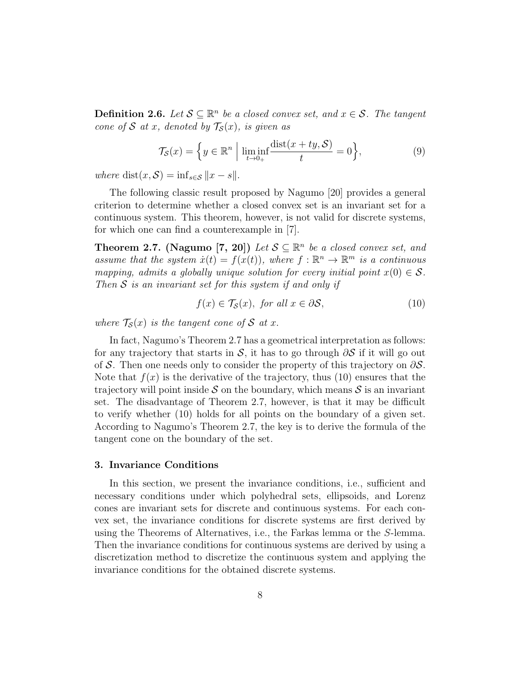**Definition 2.6.** Let  $S \subseteq \mathbb{R}^n$  be a closed convex set, and  $x \in S$ . The tangent cone of S at x, denoted by  $\mathcal{T}_{\mathcal{S}}(x)$ , is given as

$$
\mathcal{T}_{\mathcal{S}}(x) = \left\{ y \in \mathbb{R}^n \; \Big| \; \liminf_{t \to 0+} \frac{\text{dist}(x+ty,\mathcal{S})}{t} = 0 \right\},\tag{9}
$$

where dist $(x, \mathcal{S}) = \inf_{s \in \mathcal{S}} ||x - s||.$ 

The following classic result proposed by Nagumo [20] provides a general criterion to determine whether a closed convex set is an invariant set for a continuous system. This theorem, however, is not valid for discrete systems, for which one can find a counterexample in [7].

**Theorem 2.7.** (Nagumo [7, 20]) Let  $S \subseteq \mathbb{R}^n$  be a closed convex set, and assume that the system  $\dot{x}(t) = f(x(t))$ , where  $f : \mathbb{R}^n \to \mathbb{R}^m$  is a continuous mapping, admits a globally unique solution for every initial point  $x(0) \in S$ . Then  $S$  is an invariant set for this system if and only if

$$
f(x) \in \mathcal{T}_{\mathcal{S}}(x), \text{ for all } x \in \partial \mathcal{S},\tag{10}
$$

where  $\mathcal{T}_{\mathcal{S}}(x)$  is the tangent cone of S at x.

In fact, Nagumo's Theorem 2.7 has a geometrical interpretation as follows: for any trajectory that starts in S, it has to go through  $\partial S$  if it will go out of S. Then one needs only to consider the property of this trajectory on  $\partial S$ . Note that  $f(x)$  is the derivative of the trajectory, thus (10) ensures that the trajectory will point inside  $S$  on the boundary, which means  $S$  is an invariant set. The disadvantage of Theorem 2.7, however, is that it may be difficult to verify whether (10) holds for all points on the boundary of a given set. According to Nagumo's Theorem 2.7, the key is to derive the formula of the tangent cone on the boundary of the set.

## 3. Invariance Conditions

In this section, we present the invariance conditions, i.e., sufficient and necessary conditions under which polyhedral sets, ellipsoids, and Lorenz cones are invariant sets for discrete and continuous systems. For each convex set, the invariance conditions for discrete systems are first derived by using the Theorems of Alternatives, i.e., the Farkas lemma or the S-lemma. Then the invariance conditions for continuous systems are derived by using a discretization method to discretize the continuous system and applying the invariance conditions for the obtained discrete systems.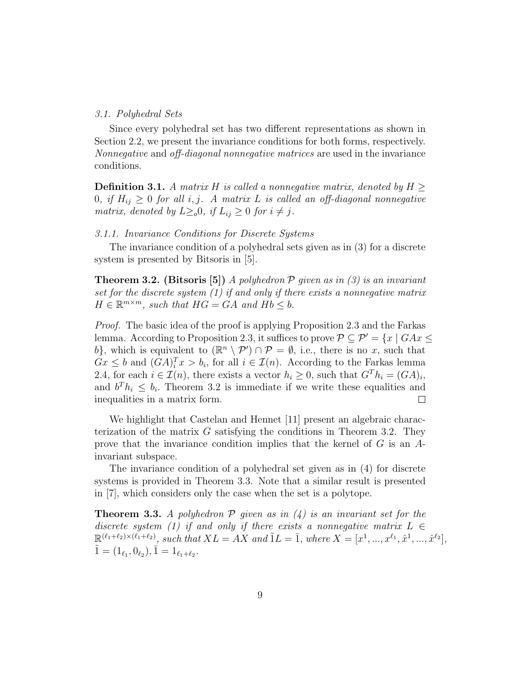### 3.1. Polyhedral Sets

Since every polyhedral set has two different representations as shown in Section 2.2, we present the invariance conditions for both forms, respectively. Nonnegative and off-diagonal nonnegative matrices are used in the invariance conditions.

**Definition 3.1.** A matrix H is called a nonnegative matrix, denoted by  $H \geq$ 0, if  $H_{ij} \geq 0$  for all i, j. A matrix L is called an off-diagonal nonnegative matrix, denoted by  $L \geq_o 0$ , if  $L_{ij} \geq 0$  for  $i \neq j$ .

## 3.1.1. Invariance Conditions for Discrete Systems

The invariance condition of a polyhedral sets given as in (3) for a discrete system is presented by Bitsoris in [5].

**Theorem 3.2.** (Bitsoris [5]) A polyhedron  $P$  given as in (3) is an invariant set for the discrete system (1) if and only if there exists a nonnegative matrix  $H \in \mathbb{R}^{m \times m}$ , such that  $HG = GA$  and  $Hb \leq b$ .

Proof. The basic idea of the proof is applying Proposition 2.3 and the Farkas lemma. According to Proposition 2.3, it suffices to prove  $\mathcal{P} \subset \mathcal{P}' = \{x \mid GAx \leq \mathcal{P}'\}$ b}, which is equivalent to  $(\mathbb{R}^n \setminus \mathcal{P}') \cap \mathcal{P} = \emptyset$ , i.e., there is no x, such that  $Gx \leq b$  and  $(GA)^{T}$  $x > b$ , for all  $i \in \mathcal{I}(n)$ . According to the Farkas lemma 2.4, for each  $i \in \mathcal{I}(n)$ , there exists a vector  $h_i \geq 0$ , such that  $G^T h_i = (GA)_i$ , and  $b^T h_i \leq b_i$ . Theorem 3.2 is immediate if we write these equalities and inequalities in a matrix form.  $\Box$ 

We highlight that Castelan and Hennet [11] present an algebraic characterization of the matrix  $G$  satisfying the conditions in Theorem 3.2. They prove that the invariance condition implies that the kernel of  $G$  is an  $A$ invariant subspace.

The invariance condition of a polyhedral set given as in (4) for discrete systems is provided in Theorem 3.3. Note that a similar result is presented in [7], which considers only the case when the set is a polytope.

**Theorem 3.3.** A polyhedron  $P$  given as in  $(4)$  is an invariant set for the discrete system (1) if and only if there exists a nonnegative matrix  $L \in$  $\mathbb{R}^{(\ell_1+\ell_2)\times(\ell_1+\ell_2)},$  such that  $XL = AX$  and  $\tilde{1}L = \overline{1},$  where  $X = [x^1, ..., x^{\ell_1}, \hat{x}^1, ..., \hat{x}^{\ell_2}],$  $\tilde{1} = (1_{\ell_1}, 0_{\ell_2}), \bar{1} = 1_{\ell_1 + \ell_2}.$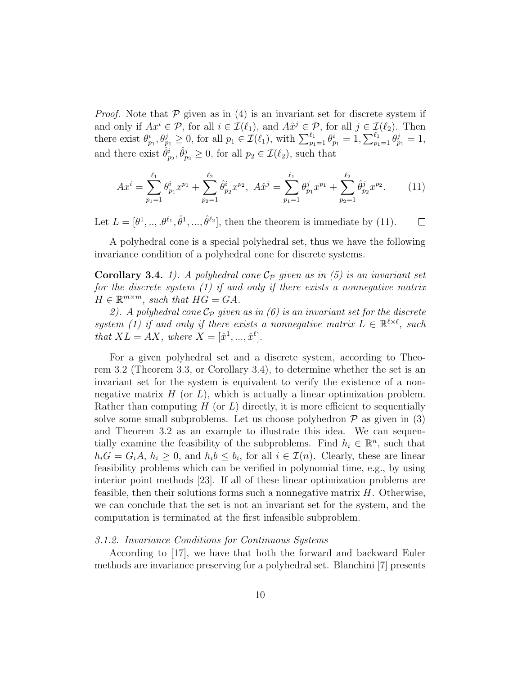*Proof.* Note that  $P$  given as in (4) is an invariant set for discrete system if and only if  $Ax^i \in \mathcal{P}$ , for all  $i \in \mathcal{I}(\ell_1)$ , and  $A\hat{x}^j \in \mathcal{P}$ , for all  $j \in \mathcal{I}(\ell_2)$ . Then there exist  $\theta_{p_1}^i, \theta_{p_1}^j \ge 0$ , for all  $p_1 \in \mathcal{I}(\ell_1)$ , with  $\sum_{p_1=1}^{\ell_1} \theta_{p_1}^i = 1, \sum_{p_1=1}^{\ell_1} \theta_{p_1}^j = 1$ , and there exist  $\hat{\theta}_{p_2}^i, \hat{\theta}_{p_2}^j \ge 0$ , for all  $p_2 \in \mathcal{I}(\ell_2)$ , such that

$$
Ax^{i} = \sum_{p_{1}=1}^{\ell_{1}} \theta_{p_{1}}^{i} x^{p_{1}} + \sum_{p_{2}=1}^{\ell_{2}} \hat{\theta}_{p_{2}}^{i} x^{p_{2}}, \quad A\hat{x}^{j} = \sum_{p_{1}=1}^{\ell_{1}} \theta_{p_{1}}^{j} x^{p_{1}} + \sum_{p_{2}=1}^{\ell_{2}} \hat{\theta}_{p_{2}}^{j} x^{p_{2}}.
$$
 (11)

Let  $L = [\theta^1, ..., \theta^{\ell_1}, \hat{\theta}^1, ..., \hat{\theta}^{\ell_2}]$ , then the theorem is immediate by (11).  $\Box$ 

A polyhedral cone is a special polyhedral set, thus we have the following invariance condition of a polyhedral cone for discrete systems.

**Corollary 3.4.** 1). A polyhedral cone  $\mathcal{C}_{\mathcal{P}}$  given as in (5) is an invariant set for the discrete system (1) if and only if there exists a nonnegative matrix  $H \in \mathbb{R}^{m \times m}$ , such that  $HG = GA$ .

2). A polyhedral cone  $\mathcal{C}_{\mathcal{P}}$  given as in (6) is an invariant set for the discrete system (1) if and only if there exists a nonnegative matrix  $L \in \mathbb{R}^{\ell \times \ell}$ , such that  $XL = AX$ , where  $X = [\hat{x}^1, ..., \hat{x}^\ell].$ 

For a given polyhedral set and a discrete system, according to Theorem 3.2 (Theorem 3.3, or Corollary 3.4), to determine whether the set is an invariant set for the system is equivalent to verify the existence of a nonnegative matrix  $H$  (or  $L$ ), which is actually a linear optimization problem. Rather than computing  $H$  (or  $L$ ) directly, it is more efficient to sequentially solve some small subproblems. Let us choose polyhedron  $\mathcal P$  as given in (3) and Theorem 3.2 as an example to illustrate this idea. We can sequentially examine the feasibility of the subproblems. Find  $h_i \in \mathbb{R}^n$ , such that  $h_iG = G_iA, h_i \geq 0$ , and  $h_i b \leq b_i$ , for all  $i \in \mathcal{I}(n)$ . Clearly, these are linear feasibility problems which can be verified in polynomial time, e.g., by using interior point methods [23]. If all of these linear optimization problems are feasible, then their solutions forms such a nonnegative matrix  $H$ . Otherwise, we can conclude that the set is not an invariant set for the system, and the computation is terminated at the first infeasible subproblem.

## 3.1.2. Invariance Conditions for Continuous Systems

According to [17], we have that both the forward and backward Euler methods are invariance preserving for a polyhedral set. Blanchini [7] presents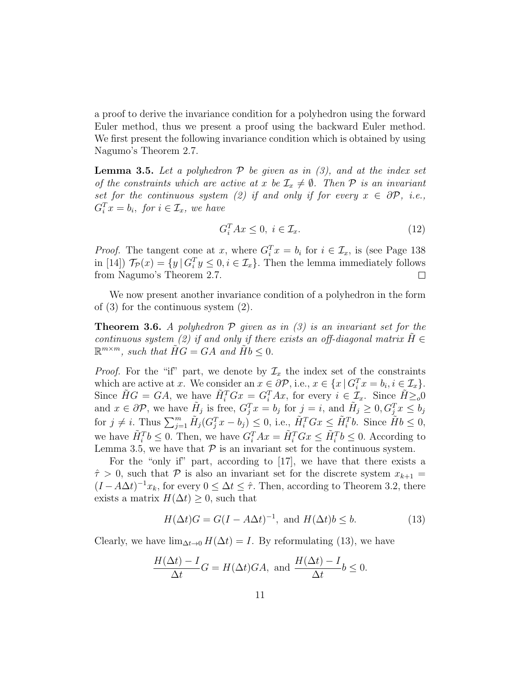a proof to derive the invariance condition for a polyhedron using the forward Euler method, thus we present a proof using the backward Euler method. We first present the following invariance condition which is obtained by using Nagumo's Theorem 2.7.

**Lemma 3.5.** Let a polyhedron  $P$  be given as in (3), and at the index set of the constraints which are active at x be  $\mathcal{I}_x \neq \emptyset$ . Then P is an invariant set for the continuous system (2) if and only if for every  $x \in \partial \mathcal{P}$ , i.e.,  $G_i^T x = b_i$ , for  $i \in \mathcal{I}_x$ , we have

$$
G_i^T A x \le 0, \ i \in \mathcal{I}_x. \tag{12}
$$

*Proof.* The tangent cone at x, where  $G_i^T x = b_i$  for  $i \in \mathcal{I}_x$ , is (see Page 138) in [14])  $\mathcal{T}_{\mathcal{P}}(x) = \{y \mid G_i^T y \leq 0, i \in \mathcal{I}_x\}$ . Then the lemma immediately follows from Nagumo's Theorem 2.7.  $\Box$ 

We now present another invariance condition of a polyhedron in the form of (3) for the continuous system (2).

**Theorem 3.6.** A polyhedron  $P$  given as in (3) is an invariant set for the continuous system (2) if and only if there exists an off-diagonal matrix  $H \in$  $\mathbb{R}^{m \times m}$ , such that  $\widetilde{H}G = GA$  and  $\widetilde{H}b \leq 0$ .

*Proof.* For the "if" part, we denote by  $\mathcal{I}_x$  the index set of the constraints which are active at x. We consider an  $x \in \partial \mathcal{P}$ , i.e.,  $x \in \{x \mid G_i^T x = b_i, i \in \mathcal{I}_x\}.$ Since  $\tilde{H}G = GA$ , we have  $\tilde{H}_i^T G x = G_i^T A x$ , for every  $i \in \mathcal{I}_x$ . Since  $\tilde{H} \geq o_0$ and  $x \in \partial \mathcal{P}$ , we have  $H_j$  is free,  $G_j^T x = b_j$  for  $j = i$ , and  $H_j \geq 0$ ,  $G_j^T x \leq b_j$ for  $j \neq i$ . Thus  $\sum_{j=1}^{m} \tilde{H}_j(G_j^T x - b_j) \leq 0$ , i.e.,  $\tilde{H}_i^T G x \leq \tilde{H}_i^T b$ . Since  $\tilde{H} b \leq 0$ , we have  $\tilde{H}_i^T b \leq 0$ . Then, we have  $G_i^T Ax = \tilde{H}_i^T G x \leq \tilde{H}_i^T b \leq 0$ . According to Lemma 3.5, we have that  $P$  is an invariant set for the continuous system.

For the "only if" part, according to [17], we have that there exists a  $\hat{\tau} > 0$ , such that P is also an invariant set for the discrete system  $x_{k+1} =$  $(I - A\Delta t)^{-1}x_k$ , for every  $0 \leq \Delta t \leq \hat{\tau}$ . Then, according to Theorem 3.2, there exists a matrix  $H(\Delta t) \geq 0$ , such that

$$
H(\Delta t)G = G(I - A\Delta t)^{-1}, \text{ and } H(\Delta t)b \le b.
$$
 (13)

Clearly, we have  $\lim_{\Delta t\to 0} H(\Delta t) = I$ . By reformulating (13), we have

$$
\frac{H(\Delta t) - I}{\Delta t} G = H(\Delta t) GA, \text{ and } \frac{H(\Delta t) - I}{\Delta t} b \le 0.
$$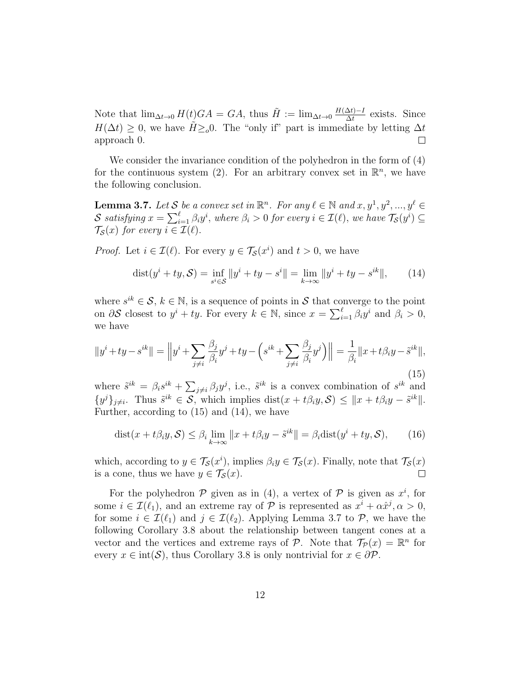Note that  $\lim_{\Delta t \to 0} H(t)GA = GA$ , thus  $\tilde{H} := \lim_{\Delta t \to 0} \frac{H(\Delta t) - I}{\Delta t}$  $\frac{\Delta t - I}{\Delta t}$  exists. Since  $H(\Delta t) \geq 0$ , we have  $\tilde{H} \geq 0$ . The "only if" part is immediate by letting  $\Delta t$ approach 0.  $\Box$ 

We consider the invariance condition of the polyhedron in the form of (4) for the continuous system (2). For an arbitrary convex set in  $\mathbb{R}^n$ , we have the following conclusion.

**Lemma 3.7.** Let S be a convex set in  $\mathbb{R}^n$ . For any  $\ell \in \mathbb{N}$  and  $x, y^1, y^2, ..., y^{\ell} \in$ S satisfying  $x = \sum_{i=1}^{\ell} \beta_i y^i$ , where  $\beta_i > 0$  for every  $i \in \mathcal{I}(\ell)$ , we have  $\mathcal{T}_{\mathcal{S}}(y^i) \subseteq$  $\mathcal{T}_{\mathcal{S}}(x)$  for every  $i \in \mathcal{I}(\ell)$ .

*Proof.* Let  $i \in \mathcal{I}(\ell)$ . For every  $y \in \mathcal{T}_{\mathcal{S}}(x^i)$  and  $t > 0$ , we have

$$
dist(y^{i} + ty, \mathcal{S}) = \inf_{s^{i} \in \mathcal{S}} ||y^{i} + ty - s^{i}|| = \lim_{k \to \infty} ||y^{i} + ty - s^{ik}||,
$$
 (14)

where  $s^{ik} \in \mathcal{S}, k \in \mathbb{N}$ , is a sequence of points in S that converge to the point on  $\partial S$  closest to  $y^i + ty$ . For every  $k \in \mathbb{N}$ , since  $x = \sum_{i=1}^{\ell} \beta_i y^i$  and  $\beta_i > 0$ , we have

$$
||y^i + ty - s^{ik}|| = \left||y^i + \sum_{j \neq i} \frac{\beta_j}{\beta_i} y^j + ty - \left(s^{ik} + \sum_{j \neq i} \frac{\beta_j}{\beta_i} y^j\right)\right|| = \frac{1}{\beta_i} ||x + t\beta_i y - \tilde{s}^{ik}||,
$$
\n(15)

where  $\tilde{s}^{ik} = \beta_i s^{ik} + \sum_{j \neq i} \beta_j y^j$ , i.e.,  $\tilde{s}^{ik}$  is a convex combination of  $s^{ik}$  and  $\{y^j\}_{j\neq i}$ . Thus  $\tilde{s}^{ik} \in \mathcal{S}$ , which implies  $dist(x+t\beta_i y, \mathcal{S}) \leq ||x+t\beta_i y - \tilde{s}^{ik}||$ . Further, according to (15) and (14), we have

$$
dist(x + t\beta_i y, \mathcal{S}) \le \beta_i \lim_{k \to \infty} ||x + t\beta_i y - \tilde{s}^{ik}|| = \beta_i dist(y^i + ty, \mathcal{S}), \qquad (16)
$$

which, according to  $y \in \mathcal{T}_{\mathcal{S}}(x^i)$ , implies  $\beta_i y \in \mathcal{T}_{\mathcal{S}}(x)$ . Finally, note that  $\mathcal{T}_{\mathcal{S}}(x)$ is a cone, thus we have  $y \in \mathcal{T}_{\mathcal{S}}(x)$ .  $\Box$ 

For the polyhedron  $P$  given as in (4), a vertex of  $P$  is given as  $x^i$ , for some  $i \in \mathcal{I}(\ell_1)$ , and an extreme ray of  $P$  is represented as  $x^i + \alpha \hat{x}^j, \alpha > 0$ , for some  $i \in \mathcal{I}(\ell_1)$  and  $j \in \mathcal{I}(\ell_2)$ . Applying Lemma 3.7 to P, we have the following Corollary 3.8 about the relationship between tangent cones at a vector and the vertices and extreme rays of  $P$ . Note that  $\mathcal{T}_P(x) = \mathbb{R}^n$  for every  $x \in \text{int}(\mathcal{S})$ , thus Corollary 3.8 is only nontrivial for  $x \in \partial \mathcal{P}$ .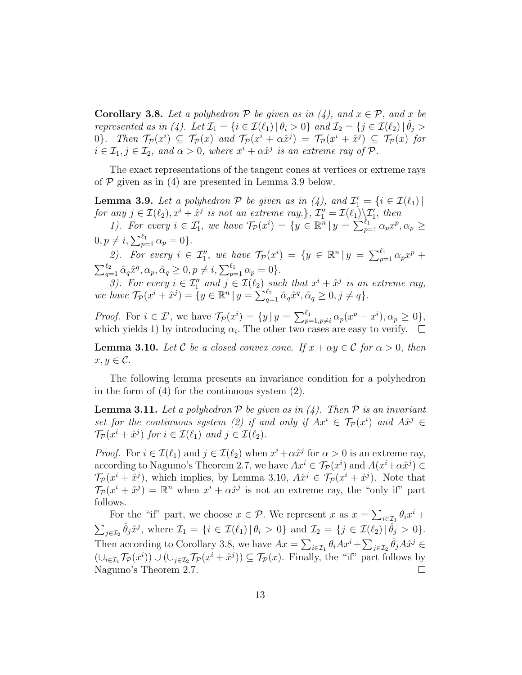**Corollary 3.8.** Let a polyhedron P be given as in  $(4)$ , and  $x \in \mathcal{P}$ , and x be represented as in (4). Let  $\mathcal{I}_1 = \{i \in \mathcal{I}(\ell_1) | \theta_i > 0\}$  and  $\mathcal{I}_2 = \{j \in \mathcal{I}(\ell_2) | \hat{\theta}_j > 0\}$ 0}. Then  $\mathcal{T}_{\mathcal{P}}(x^i) \subseteq \mathcal{T}_{\mathcal{P}}(x)$  and  $\mathcal{T}_{\mathcal{P}}(x^i + \alpha \hat{x}^j) = \mathcal{T}_{\mathcal{P}}(x^i + \hat{x}^j) \subseteq \mathcal{T}_{\mathcal{P}}(x)$  for  $i \in \mathcal{I}_1, j \in \mathcal{I}_2$ , and  $\alpha > 0$ , where  $x^i + \alpha \hat{x}^j$  is an extreme ray of  $\mathcal{P}$ .

The exact representations of the tangent cones at vertices or extreme rays of  $P$  given as in (4) are presented in Lemma 3.9 below.

**Lemma 3.9.** Let a polyhedron  $P$  be given as in (4), and  $\mathcal{I}'_1 = \{i \in \mathcal{I}(\ell_1) \mid \ell_2 = 1\}$ for any  $j \in \mathcal{I}(\ell_2)$ ,  $x^i + \hat{x}^j$  is not an extreme ray.},  $\mathcal{I}_1'' = \mathcal{I}(\ell_1) \backslash \mathcal{I}_1'$ , then

1). For every  $i \in \mathcal{I}'_1$ , we have  $\mathcal{T}_{\mathcal{P}}(x^i) = \{y \in \mathbb{R}^n | y = \sum_{p=1}^{\ell_1} \alpha_p x^p, \alpha_p \geq 1\}$  $0, p \neq i, \sum_{p=1}^{\ell_1} \alpha_p = 0$ .

2). For every  $i \in \mathcal{I}_1^n$ , we have  $\mathcal{T}_{\mathcal{P}}(x^i) = \{y \in \mathbb{R}^n | y = \sum_{p=1}^{\ell_1} \alpha_p x^p +$  $\sum_{q=1}^{\ell_2} \hat{\alpha}_q \hat{x}^q, \alpha_p, \hat{\alpha}_q \ge 0, p \ne i, \sum_{p=1}^{\ell_1} \alpha_p = 0 \}.$ 

3). For every  $i \in \mathcal{I}_1''$  and  $j \in \mathcal{I}(\ell_2)$  such that  $x^i + \hat{x}^j$  is an extreme ray, we have  $\mathcal{T}_{\mathcal{P}}(x^i + \hat{x}^j) = \{y \in \mathbb{R}^n \mid y = \sum_{q=1}^{\ell_2} \hat{\alpha}_q \hat{x}^q, \hat{\alpha}_q \ge 0, j \ne q\}.$ 

*Proof.* For  $i \in \mathcal{I}'$ , we have  $\mathcal{T}_{\mathcal{P}}(x^i) = \{y \mid y = \sum_{p=1,p \neq i}^{\ell_1} \alpha_p (x^p - x^i), \alpha_p \geq 0\},\$ which yields 1) by introducing  $\alpha_i$ . The other two cases are easy to verify.  $\overline{\phantom{a}}$ 

**Lemma 3.10.** Let C be a closed convex cone. If  $x + \alpha y \in C$  for  $\alpha > 0$ , then  $x, y \in \mathcal{C}$ .

The following lemma presents an invariance condition for a polyhedron in the form of (4) for the continuous system (2).

**Lemma 3.11.** Let a polyhedron  $P$  be given as in (4). Then  $P$  is an invariant set for the continuous system (2) if and only if  $Ax^i \in \mathcal{T}_{\mathcal{P}}(x^i)$  and  $A\hat{x}^j \in$  $\mathcal{T}_{\mathcal{P}}(x^i + \hat{x}^j)$  for  $i \in \mathcal{I}(\ell_1)$  and  $j \in \mathcal{I}(\ell_2)$ .

*Proof.* For  $i \in \mathcal{I}(\ell_1)$  and  $j \in \mathcal{I}(\ell_2)$  when  $x^i + \alpha \hat{x}^j$  for  $\alpha > 0$  is an extreme ray, according to Nagumo's Theorem 2.7, we have  $Ax^{i} \in \mathcal{T}_{\mathcal{P}}(x^{i})$  and  $A(x^{i}+\alpha \hat{x}^{j}) \in$  $\mathcal{T}_{\mathcal{P}}(x^i + \hat{x}^j)$ , which implies, by Lemma 3.10,  $A\hat{x}^j \in \mathcal{T}_{\mathcal{P}}(x^i + \hat{x}^j)$ . Note that  $\mathcal{T}_\mathcal{P}(x^i + \hat{x}^j) = \mathbb{R}^n$  when  $x^i + \alpha \hat{x}^j$  is not an extreme ray, the "only if" part follows.

For the "if" part, we choose  $x \in \mathcal{P}$ . We represent x as  $x = \sum_{i \in \mathcal{I}_1} \theta_i x^i +$  $\sum_{j\in\mathcal{I}_2} \hat{\theta}_j \hat{x}^j$ , where  $\mathcal{I}_1 = \{i \in \mathcal{I}(\ell_1) | \theta_i > 0\}$  and  $\mathcal{I}_2 = \{j \in \mathcal{I}(\ell_2) | \hat{\theta}_j > 0\}.$ Then according to Corollary 3.8, we have  $Ax = \sum_{i \in \mathcal{I}_1} \theta_i Ax^i + \sum_{j \in \mathcal{I}_2} \hat{\theta}_j A \hat{x}^j \in$  $(\cup_{i\in\mathcal{I}_1}\mathcal{T}_{\mathcal{P}}(x^i))\cup(\cup_{j\in\mathcal{I}_2}\mathcal{T}_{\mathcal{P}}(x^i+\hat{x}^j))\subseteq\mathcal{T}_{\mathcal{P}}(x)$ . Finally, the "if" part follows by Nagumo's Theorem 2.7.  $\Box$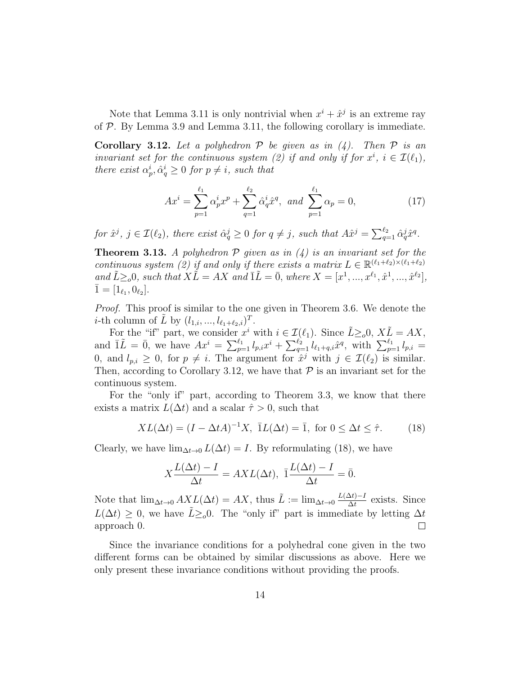Note that Lemma 3.11 is only nontrivial when  $x^{i} + \hat{x}^{j}$  is an extreme ray of  $P$ . By Lemma 3.9 and Lemma 3.11, the following corollary is immediate.

**Corollary 3.12.** Let a polyhedron  $P$  be given as in (4). Then  $P$  is an invariant set for the continuous system (2) if and only if for  $x^i$ ,  $i \in \mathcal{I}(\ell_1)$ , there exist  $\alpha_p^i, \hat{\alpha}_q^i \geq 0$  for  $p \neq i$ , such that

$$
Ax^{i} = \sum_{p=1}^{\ell_{1}} \alpha_{p}^{i} x^{p} + \sum_{q=1}^{\ell_{2}} \hat{\alpha}_{q}^{i} \hat{x}^{q}, \text{ and } \sum_{p=1}^{\ell_{1}} \alpha_{p} = 0,
$$
 (17)

for  $\hat{x}^j$ ,  $j \in \mathcal{I}(\ell_2)$ , there exist  $\hat{\alpha}_q^j \geq 0$  for  $q \neq j$ , such that  $A\hat{x}^j = \sum_{q=1}^{\ell_2} \hat{\alpha}_q^j \hat{x}^q$ .

**Theorem 3.13.** A polyhedron  $P$  given as in  $(4)$  is an invariant set for the continuous system (2) if and only if there exists a matrix  $L \in \mathbb{R}^{(\ell_1+\ell_2)\times(\ell_1+\ell_2)}$ and  $\tilde{L} \geq_o 0$ , such that  $X\tilde{L} = AX$  and  $\overline{1}\tilde{L} = \overline{0}$ , where  $X = [x^1, ..., x^{\ell_1}, \hat{x}^1, ..., \hat{x}^{\ell_2}]$ ,  $\bar{1} = [1_{\ell_1}, 0_{\ell_2}].$ 

*Proof.* This proof is similar to the one given in Theorem 3.6. We denote the *i*-th column of  $\tilde{L}$  by  $(l_{1,i},...,l_{\ell_1+\ell_2,i})^T$ .

For the "if" part, we consider  $x^i$  with  $i \in \mathcal{I}(\ell_1)$ . Since  $\tilde{L} \geq {}_o 0$ ,  $X \tilde{L} = AX$ , and  $\overline{1}\tilde{L} = \overline{0}$ , we have  $Ax^i = \sum_{p=1}^{\ell_1} l_{p,i}x^i + \sum_{q=1}^{\ell_2} l_{\ell_1+q,i}\hat{x}^q$ , with  $\sum_{p=1}^{\ell_1} l_{p,i} =$ 0, and  $l_{p,i} \geq 0$ , for  $p \neq i$ . The argument for  $\hat{x}^j$  with  $j \in \mathcal{I}(\ell_2)$  is similar. Then, according to Corollary 3.12, we have that  $P$  is an invariant set for the continuous system.

For the "only if" part, according to Theorem 3.3, we know that there exists a matrix  $L(\Delta t)$  and a scalar  $\hat{\tau} > 0$ , such that

$$
XL(\Delta t) = (I - \Delta t A)^{-1}X, \ \overline{1}L(\Delta t) = \overline{1}, \text{ for } 0 \le \Delta t \le \hat{\tau}.
$$
 (18)

Clearly, we have  $\lim_{\Delta t\to 0} L(\Delta t) = I$ . By reformulating (18), we have

$$
X\frac{L(\Delta t) - I}{\Delta t} = AXL(\Delta t), \ \overline{1}\frac{L(\Delta t) - I}{\Delta t} = \overline{0}.
$$

Note that  $\lim_{\Delta t \to 0} AXL(\Delta t) = AX$ , thus  $\tilde{L} := \lim_{\Delta t \to 0} \frac{L(\Delta t) - I}{\Delta t}$  $\frac{\Delta t - I}{\Delta t}$  exists. Since  $L(\Delta t) \geq 0$ , we have  $\tilde{L} \geq 0$ . The "only if" part is immediate by letting  $\Delta t$ approach 0.  $\Box$ 

Since the invariance conditions for a polyhedral cone given in the two different forms can be obtained by similar discussions as above. Here we only present these invariance conditions without providing the proofs.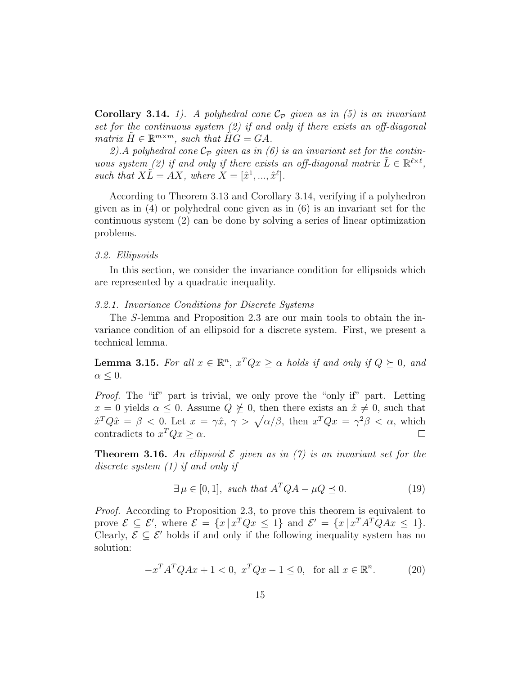**Corollary 3.14.** 1). A polyhedral cone  $\mathcal{C}_{\mathcal{P}}$  given as in (5) is an invariant set for the continuous system (2) if and only if there exists an off-diagonal matrix  $\tilde{H} \in \mathbb{R}^{m \times m}$ , such that  $\tilde{H}\tilde{G} = GA$ .

2). A polyhedral cone  $C_P$  given as in (6) is an invariant set for the continuous system (2) if and only if there exists an off-diagonal matrix  $\tilde{L} \in \mathbb{R}^{\ell \times \ell}$ , such that  $X\tilde{L} = AX$ , where  $X = [\hat{x}^1, ..., \hat{x}^\ell].$ 

According to Theorem 3.13 and Corollary 3.14, verifying if a polyhedron given as in (4) or polyhedral cone given as in (6) is an invariant set for the continuous system (2) can be done by solving a series of linear optimization problems.

## 3.2. Ellipsoids

In this section, we consider the invariance condition for ellipsoids which are represented by a quadratic inequality.

### 3.2.1. Invariance Conditions for Discrete Systems

The S-lemma and Proposition 2.3 are our main tools to obtain the invariance condition of an ellipsoid for a discrete system. First, we present a technical lemma.

**Lemma 3.15.** For all  $x \in \mathbb{R}^n$ ,  $x^TQx \ge \alpha$  holds if and only if  $Q \succeq 0$ , and  $\alpha \leq 0$ .

Proof. The "if" part is trivial, we only prove the "only if" part. Letting  $x = 0$  yields  $\alpha \leq 0$ . Assume  $Q \not\leq 0$ , then there exists an  $\hat{x} \neq 0$ , such that  $\hat{x}^T Q \hat{x} = \beta < 0$ . Let  $x = \gamma \hat{x}, \gamma > \sqrt{\alpha/\beta}$ , then  $x^T Q x = \gamma^2 \beta < \alpha$ , which contradicts to  $x^T Q x \geq \alpha$ .  $\Box$ 

**Theorem 3.16.** An ellipsoid  $\mathcal E$  given as in (7) is an invariant set for the discrete system (1) if and only if

$$
\exists \mu \in [0, 1], \text{ such that } A^T Q A - \mu Q \preceq 0. \tag{19}
$$

Proof. According to Proposition 2.3, to prove this theorem is equivalent to prove  $\mathcal{E} \subseteq \mathcal{E}'$ , where  $\mathcal{E} = \{x \mid x^T Q x \le 1\}$  and  $\mathcal{E}' = \{x \mid x^T A^T Q A x \le 1\}$ . Clearly,  $\mathcal{E} \subseteq \mathcal{E}'$  holds if and only if the following inequality system has no solution:

$$
-x^T A^T Q A x + 1 < 0, \ x^T Q x - 1 \le 0, \text{ for all } x \in \mathbb{R}^n. \tag{20}
$$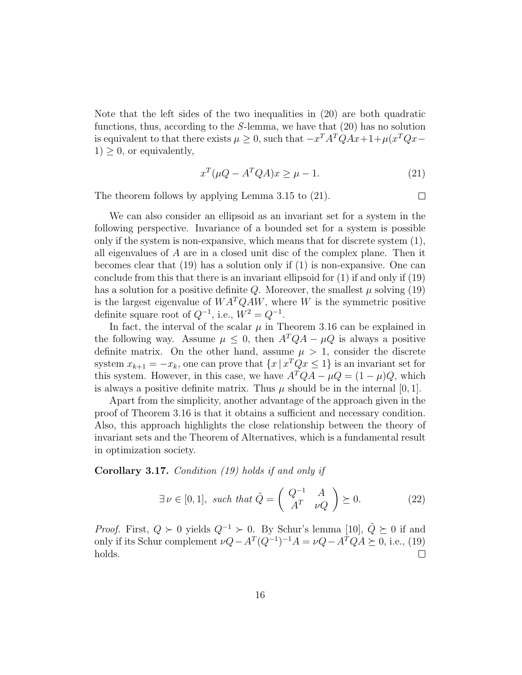Note that the left sides of the two inequalities in (20) are both quadratic functions, thus, according to the  $S$ -lemma, we have that  $(20)$  has no solution is equivalent to that there exists  $\mu \geq 0$ , such that  $-x^T A^T Q A x + 1 + \mu (x^T Q x 1$ ) > 0, or equivalently,

$$
x^T(\mu Q - A^T Q A)x \ge \mu - 1. \tag{21}
$$

The theorem follows by applying Lemma 3.15 to (21).

We can also consider an ellipsoid as an invariant set for a system in the following perspective. Invariance of a bounded set for a system is possible only if the system is non-expansive, which means that for discrete system (1), all eigenvalues of A are in a closed unit disc of the complex plane. Then it becomes clear that (19) has a solution only if (1) is non-expansive. One can conclude from this that there is an invariant ellipsoid for (1) if and only if (19) has a solution for a positive definite Q. Moreover, the smallest  $\mu$  solving (19) is the largest eigenvalue of  $WA^TQAW$ , where W is the symmetric positive definite square root of  $Q^{-1}$ , i.e.,  $W^2 = Q^{-1}$ .

In fact, the interval of the scalar  $\mu$  in Theorem 3.16 can be explained in the following way. Assume  $\mu \leq 0$ , then  $A^TQA - \mu Q$  is always a positive definite matrix. On the other hand, assume  $\mu > 1$ , consider the discrete system  $x_{k+1} = -x_k$ , one can prove that  $\{x \mid x^T Q x \le 1\}$  is an invariant set for this system. However, in this case, we have  $A^TQA - \mu Q = (1 - \mu)Q$ , which is always a positive definite matrix. Thus  $\mu$  should be in the internal [0, 1].

Apart from the simplicity, another advantage of the approach given in the proof of Theorem 3.16 is that it obtains a sufficient and necessary condition. Also, this approach highlights the close relationship between the theory of invariant sets and the Theorem of Alternatives, which is a fundamental result in optimization society.

Corollary 3.17. Condition (19) holds if and only if

$$
\exists \nu \in [0, 1], \text{ such that } \tilde{Q} = \begin{pmatrix} Q^{-1} & A \\ A^T & \nu Q \end{pmatrix} \succeq 0. \tag{22}
$$

*Proof.* First,  $Q \succ 0$  yields  $Q^{-1} \succ 0$ . By Schur's lemma [10],  $\tilde{Q} \succeq 0$  if and only if its Schur complement  $\nu Q - A^T (Q^{-1})^{-1} A = \nu Q - A^T Q A \succeq 0$ , i.e., (19)  $\Box$ holds.

 $\Box$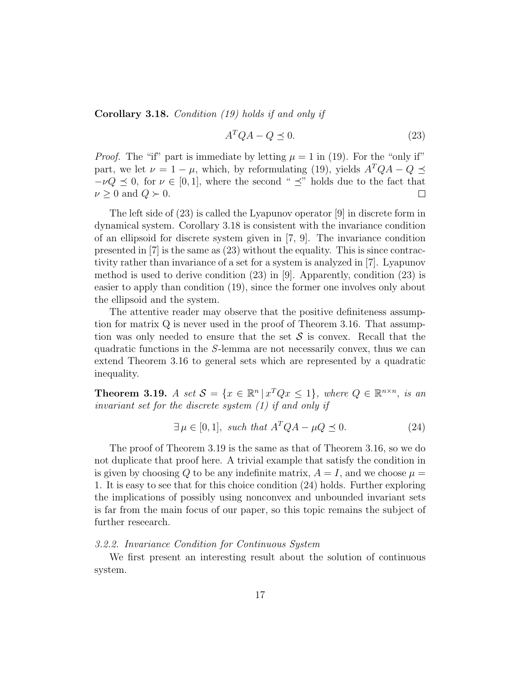Corollary 3.18. Condition (19) holds if and only if

$$
A^T Q A - Q \preceq 0. \tag{23}
$$

*Proof.* The "if" part is immediate by letting  $\mu = 1$  in (19). For the "only if" part, we let  $\nu = 1 - \mu$ , which, by reformulating (19), yields  $A^TQA - Q \preceq$  $-\nu Q \preceq 0$ , for  $\nu \in [0,1]$ , where the second "  $\preceq$ " holds due to the fact that  $\nu \geq 0$  and  $Q \succ 0$ .  $\Box$ 

The left side of (23) is called the Lyapunov operator [9] in discrete form in dynamical system. Corollary 3.18 is consistent with the invariance condition of an ellipsoid for discrete system given in [7, 9]. The invariance condition presented in [7] is the same as (23) without the equality. This is since contractivity rather than invariance of a set for a system is analyzed in [7]. Lyapunov method is used to derive condition  $(23)$  in [9]. Apparently, condition  $(23)$  is easier to apply than condition (19), since the former one involves only about the ellipsoid and the system.

The attentive reader may observe that the positive definiteness assumption for matrix Q is never used in the proof of Theorem 3.16. That assumption was only needed to ensure that the set  $S$  is convex. Recall that the quadratic functions in the S-lemma are not necessarily convex, thus we can extend Theorem 3.16 to general sets which are represented by a quadratic inequality.

**Theorem 3.19.** A set  $S = \{x \in \mathbb{R}^n | x^TQx \le 1\}$ , where  $Q \in \mathbb{R}^{n \times n}$ , is an invariant set for the discrete system (1) if and only if

$$
\exists \mu \in [0, 1], \text{ such that } A^T Q A - \mu Q \preceq 0. \tag{24}
$$

The proof of Theorem 3.19 is the same as that of Theorem 3.16, so we do not duplicate that proof here. A trivial example that satisfy the condition in is given by choosing Q to be any indefinite matrix,  $A = I$ , and we choose  $\mu =$ 1. It is easy to see that for this choice condition (24) holds. Further exploring the implications of possibly using nonconvex and unbounded invariant sets is far from the main focus of our paper, so this topic remains the subject of further reseearch.

### 3.2.2. Invariance Condition for Continuous System

We first present an interesting result about the solution of continuous system.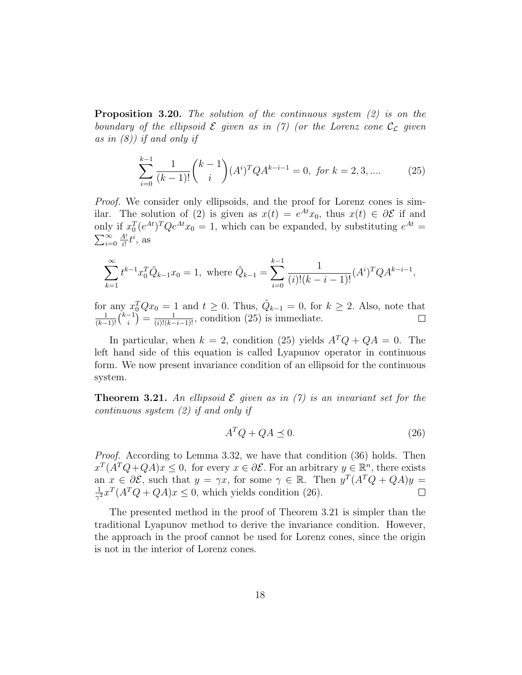**Proposition 3.20.** The solution of the continuous system  $(2)$  is on the boundary of the ellipsoid  $\mathcal E$  given as in (7) (or the Lorenz cone  $\mathcal C_{\mathcal L}$  given as in  $(8)$ ) if and only if

$$
\sum_{i=0}^{k-1} \frac{1}{(k-1)!} {k-1 \choose i} (A^i)^T Q A^{k-i-1} = 0, \text{ for } k = 2, 3, .... \tag{25}
$$

Proof. We consider only ellipsoids, and the proof for Lorenz cones is similar. The solution of (2) is given as  $x(t) = e^{At}x_0$ , thus  $x(t) \in \partial \mathcal{E}$  if and only if  $x_0^T (e^{At})^T Q e^{At} x_0 = 1$ , which can be expanded, by substituting  $e^{At} =$  $\sum_{i=0}^{\infty}$  $A^i$  $\frac{4^i}{i!}t^i$ , as

$$
\sum_{k=1}^{\infty} t^{k-1} x_0^T \tilde{Q}_{k-1} x_0 = 1, \text{ where } \tilde{Q}_{k-1} = \sum_{i=0}^{k-1} \frac{1}{(i)!(k-i-1)!} (A^i)^T Q A^{k-i-1},
$$

for any  $x_0^T Q x_0 = 1$  and  $t \ge 0$ . Thus,  $\tilde{Q}_{k-1} = 0$ , for  $k \ge 2$ . Also, note that  $\frac{1}{(k-1)!} {k-1 \choose i} = \frac{1}{(i)!(k-i-1)!}$ , condition (25) is immediate.  $\binom{-1}{i} = \frac{1}{(i)!(k-i-1)!}$ , condition (25) is immediate.

In particular, when  $k = 2$ , condition (25) yields  $A^TQ + QA = 0$ . The left hand side of this equation is called Lyapunov operator in continuous form. We now present invariance condition of an ellipsoid for the continuous system.

**Theorem 3.21.** An ellipsoid  $\mathcal E$  given as in (7) is an invariant set for the continuous system (2) if and only if

$$
A^T Q + QA \preceq 0. \tag{26}
$$

Proof. According to Lemma 3.32, we have that condition (36) holds. Then  $x^T(A^T Q + QA)x \leq 0$ , for every  $x \in \partial \mathcal{E}$ . For an arbitrary  $y \in \mathbb{R}^n$ , there exists an  $x \in \partial \mathcal{E}$ , such that  $y = \gamma x$ , for some  $\gamma \in \mathbb{R}$ . Then  $y^T (A^T Q + QA) y =$ 1  $\frac{1}{\gamma^2} x^T (A^T Q + Q A) x \leq 0$ , which yields condition (26).  $\Box$ 

The presented method in the proof of Theorem 3.21 is simpler than the traditional Lyapunov method to derive the invariance condition. However, the approach in the proof cannot be used for Lorenz cones, since the origin is not in the interior of Lorenz cones.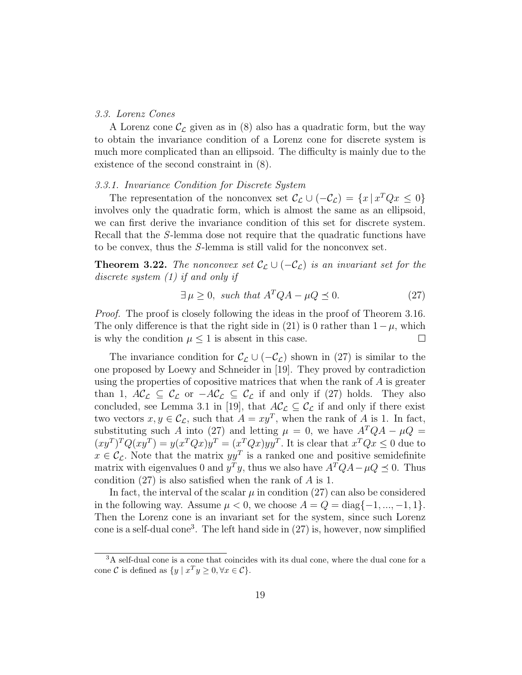## 3.3. Lorenz Cones

A Lorenz cone  $\mathcal{C}_{\mathcal{L}}$  given as in (8) also has a quadratic form, but the way to obtain the invariance condition of a Lorenz cone for discrete system is much more complicated than an ellipsoid. The difficulty is mainly due to the existence of the second constraint in (8).

## 3.3.1. Invariance Condition for Discrete System

The representation of the nonconvex set  $\mathcal{C}_{\mathcal{L}} \cup (-\mathcal{C}_{\mathcal{L}}) = \{x \mid x^T Q x \leq 0\}$ involves only the quadratic form, which is almost the same as an ellipsoid, we can first derive the invariance condition of this set for discrete system. Recall that the S-lemma dose not require that the quadratic functions have to be convex, thus the S-lemma is still valid for the nonconvex set.

**Theorem 3.22.** The nonconvex set  $\mathcal{C}_{\mathcal{L}} \cup (-\mathcal{C}_{\mathcal{L}})$  is an invariant set for the discrete system (1) if and only if

$$
\exists \mu \ge 0, \text{ such that } A^T Q A - \mu Q \preceq 0. \tag{27}
$$

Proof. The proof is closely following the ideas in the proof of Theorem 3.16. The only difference is that the right side in (21) is 0 rather than  $1 - \mu$ , which is why the condition  $\mu \leq 1$  is absent in this case.  $\Box$ 

The invariance condition for  $\mathcal{C}_{\mathcal{L}} \cup (-\mathcal{C}_{\mathcal{L}})$  shown in (27) is similar to the one proposed by Loewy and Schneider in [19]. They proved by contradiction using the properties of copositive matrices that when the rank of A is greater than 1,  $AC_{\mathcal{L}} \subseteq C_{\mathcal{L}}$  or  $-AC_{\mathcal{L}} \subseteq C_{\mathcal{L}}$  if and only if (27) holds. They also concluded, see Lemma 3.1 in [19], that  $A\mathcal{C}_{\mathcal{L}} \subseteq \mathcal{C}_{\mathcal{L}}$  if and only if there exist two vectors  $x, y \in \mathcal{C}_{\mathcal{L}}$ , such that  $A = xy^T$ , when the rank of A is 1. In fact, substituting such A into (27) and letting  $\mu = 0$ , we have  $A^TQA - \mu Q =$  $(xy^T)^T Q(xy^T) = y(x^T Qx) y^T = (x^T Qx) y y^T$ . It is clear that  $x^T Qx \leq 0$  due to  $x \in \mathcal{C}_{\mathcal{L}}$ . Note that the matrix  $yy^T$  is a ranked one and positive semidefinite matrix with eigenvalues 0 and  $y^T y$ , thus we also have  $A^T Q A - \mu Q \preceq 0$ . Thus condition (27) is also satisfied when the rank of A is 1.

In fact, the interval of the scalar  $\mu$  in condition (27) can also be considered in the following way. Assume  $\mu < 0$ , we choose  $A = Q = \text{diag}\{-1, ..., -1, 1\}$ . Then the Lorenz cone is an invariant set for the system, since such Lorenz cone is a self-dual cone<sup>3</sup>. The left hand side in  $(27)$  is, however, now simplified

<sup>3</sup>A self-dual cone is a cone that coincides with its dual cone, where the dual cone for a cone C is defined as  $\{y \mid x^T y \ge 0, \forall x \in C\}.$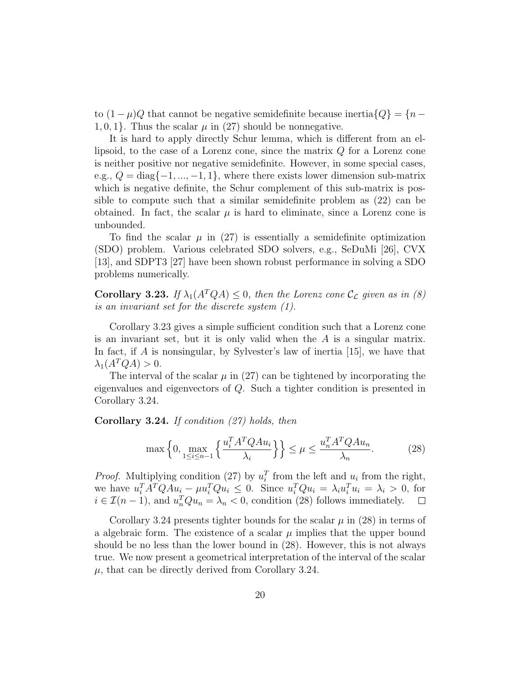to  $(1 - \mu)Q$  that cannot be negative semidefinite because inertia $\{Q\} = \{n - \mu\}$ 1, 0, 1}. Thus the scalar  $\mu$  in (27) should be nonnegative.

It is hard to apply directly Schur lemma, which is different from an ellipsoid, to the case of a Lorenz cone, since the matrix Q for a Lorenz cone is neither positive nor negative semidefinite. However, in some special cases, e.g.,  $Q = \text{diag}\{-1, ..., -1, 1\}$ , where there exists lower dimension sub-matrix which is negative definite, the Schur complement of this sub-matrix is possible to compute such that a similar semidefinite problem as (22) can be obtained. In fact, the scalar  $\mu$  is hard to eliminate, since a Lorenz cone is unbounded.

To find the scalar  $\mu$  in (27) is essentially a semidefinite optimization (SDO) problem. Various celebrated SDO solvers, e.g., SeDuMi [26], CVX [13], and SDPT3 [27] have been shown robust performance in solving a SDO problems numerically.

**Corollary 3.23.** If  $\lambda_1(A^TQA) \leq 0$ , then the Lorenz cone  $\mathcal{C}_{\mathcal{L}}$  given as in (8) is an invariant set for the discrete system (1).

Corollary 3.23 gives a simple sufficient condition such that a Lorenz cone is an invariant set, but it is only valid when the  $A$  is a singular matrix. In fact, if A is nonsingular, by Sylvester's law of inertia [15], we have that  $\lambda_1(A^TQA) > 0.$ 

The interval of the scalar  $\mu$  in (27) can be tightened by incorporating the eigenvalues and eigenvectors of Q. Such a tighter condition is presented in Corollary 3.24.

**Corollary 3.24.** If condition  $(27)$  holds, then

$$
\max\left\{0, \max_{1 \le i \le n-1} \left\{ \frac{u_i^T A^T Q A u_i}{\lambda_i} \right\} \right\} \le \mu \le \frac{u_n^T A^T Q A u_n}{\lambda_n}.\tag{28}
$$

*Proof.* Multiplying condition (27) by  $u_i^T$  from the left and  $u_i$  from the right, we have  $u_i^T A^T Q A u_i - \mu u_i^T Q u_i \leq 0$ . Since  $u_i^T Q u_i = \lambda_i u_i^T u_i = \lambda_i > 0$ , for  $i \in \mathcal{I}(n-1)$ , and  $u_n^T Q u_n = \lambda_n < 0$ , condition (28) follows immediately.

Corollary 3.24 presents tighter bounds for the scalar  $\mu$  in (28) in terms of a algebraic form. The existence of a scalar  $\mu$  implies that the upper bound should be no less than the lower bound in (28). However, this is not always true. We now present a geometrical interpretation of the interval of the scalar  $\mu$ , that can be directly derived from Corollary 3.24.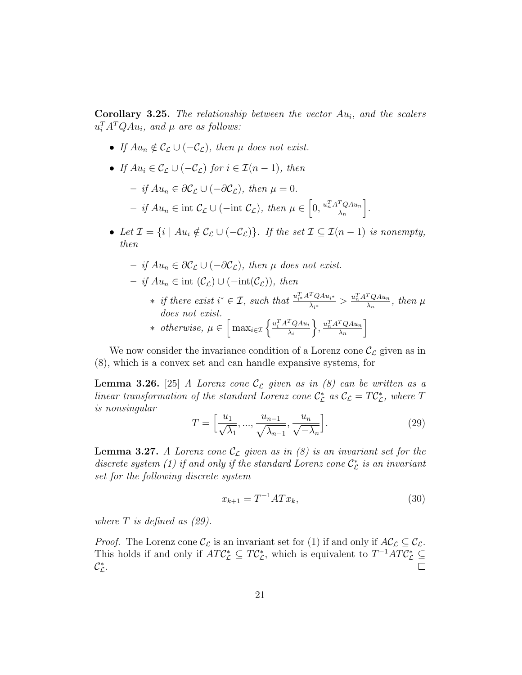**Corollary 3.25.** The relationship between the vector  $Au_i$ , and the scalers  $u_i^T A^T Q A u_i$ , and  $\mu$  are as follows:

- If  $Au_n \notin \mathcal{C}_{\mathcal{L}} \cup (-\mathcal{C}_{\mathcal{L}})$ , then  $\mu$  does not exist.
- If  $Au_i \in \mathcal{C}_\Gamma \cup (-\mathcal{C}_\Gamma)$  for  $i \in \mathcal{I}(n-1)$ , then
	- $-$  if  $Au_n \in \partial \mathcal{C}_\mathcal{L} \cup (-\partial \mathcal{C}_\mathcal{L}),$  then  $\mu = 0$ .  $-$  if Au<sub>n</sub> ∈ int C<sub>c</sub> ∪ (-int C<sub>c</sub>), then  $\mu \in [0, \frac{u_n^T A^T Q A u_n}{\lambda_n}]$  $\lambda_n$ i .
- Let  $\mathcal{I} = \{i \mid Au_i \notin \mathcal{C}_{\mathcal{L}} \cup (-\mathcal{C}_{\mathcal{L}})\}\$ . If the set  $\mathcal{I} \subseteq \mathcal{I}(n-1)$  is nonempty, then

$$
- if Aun \in \partial C_{\mathcal{L}} \cup (-\partial C_{\mathcal{L}}), then \mu does not exist.
$$

- $-$  if  $Au_n \in \text{int}(\mathcal{C}_\mathcal{L}) \cup (-\text{int}(\mathcal{C}_\mathcal{L}))$ , then
	- ∗ if there exist  $i^* \in \mathcal{I}$ , such that  $\frac{u_{i^*}^T A^T Q A u_{i^*}}{\lambda_{i^*}} > \frac{u_n^T A^T Q A u_n}{\lambda_n}$  $\frac{d^{n}Q A u_{n}}{\lambda_{n}}, \text{ then } \mu$ does not exist. ∗ otherwise,  $\mu \in \left[\max_{i \in \mathcal{I}} \left\{ \frac{u_i^T A^T Q A u_i}{\lambda_i} \right\} \right]$  $\lambda_i$  $\Big\}, \frac{u_n^T A^T Q A u_n}{\lambda}$  $\lambda_n$ i

We now consider the invariance condition of a Lorenz cone  $\mathcal{C}_{\mathcal{L}}$  given as in (8), which is a convex set and can handle expansive systems, for

**Lemma 3.26.** [25] A Lorenz cone  $\mathcal{C}_{\mathcal{L}}$  given as in (8) can be written as a linear transformation of the standard Lorenz cone  $\mathcal{C}_{\mathcal{L}}^*$  as  $\mathcal{C}_{\mathcal{L}} = T\mathcal{C}_{\mathcal{L}}^*$ , where T is nonsingular

$$
T = \left[\frac{u_1}{\sqrt{\lambda_1}}, \dots, \frac{u_{n-1}}{\sqrt{\lambda_{n-1}}}, \frac{u_n}{\sqrt{-\lambda_n}}\right].
$$
\n(29)

**Lemma 3.27.** A Lorenz cone  $\mathcal{C}_{\mathcal{L}}$  given as in (8) is an invariant set for the discrete system (1) if and only if the standard Lorenz cone  $\mathcal{C}_{\mathcal{L}}^*$  is an invariant set for the following discrete system

$$
x_{k+1} = T^{-1}ATx_k,
$$
\n(30)

where  $T$  is defined as  $(29)$ .

*Proof.* The Lorenz cone  $\mathcal{C}_{\mathcal{L}}$  is an invariant set for (1) if and only if  $A\mathcal{C}_{\mathcal{L}} \subseteq \mathcal{C}_{\mathcal{L}}$ . This holds if and only if  $ATC^*_{\mathcal{L}} \subseteq T C^*_{\mathcal{L}}$ , which is equivalent to  $T^{-1}ATC^*_{\mathcal{L}} \subseteq$  $\mathcal{C}_{\mathcal{L}}^*$ .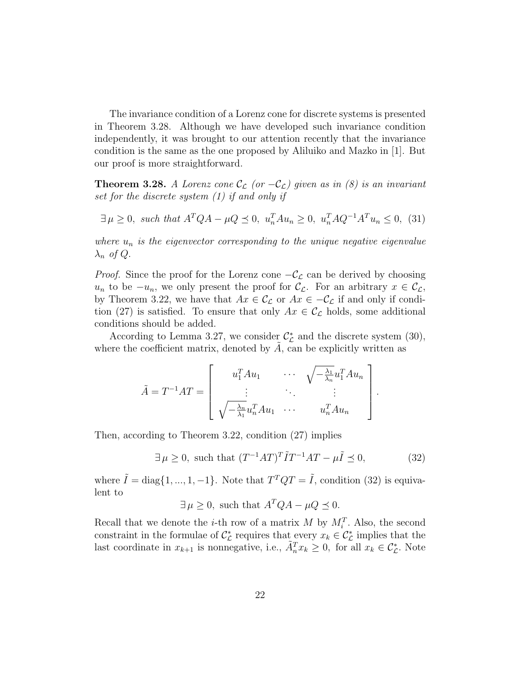The invariance condition of a Lorenz cone for discrete systems is presented in Theorem 3.28. Although we have developed such invariance condition independently, it was brought to our attention recently that the invariance condition is the same as the one proposed by Aliluiko and Mazko in [1]. But our proof is more straightforward.

**Theorem 3.28.** A Lorenz cone  $\mathcal{C}_{\mathcal{L}}$  (or  $-\mathcal{C}_{\mathcal{L}}$ ) given as in (8) is an invariant set for the discrete system (1) if and only if

$$
\exists \mu \ge 0, \text{ such that } A^T Q A - \mu Q \le 0, \ u_n^T A u_n \ge 0, \ u_n^T A Q^{-1} A^T u_n \le 0, \ (31)
$$

where  $u_n$  is the eigenvector corresponding to the unique negative eigenvalue  $\lambda_n$  of Q.

*Proof.* Since the proof for the Lorenz cone  $-\mathcal{C}_{\mathcal{L}}$  can be derived by choosing u<sub>n</sub> to be  $-u_n$ , we only present the proof for  $\mathcal{C}_{\mathcal{L}}$ . For an arbitrary  $x \in \mathcal{C}_{\mathcal{L}}$ , by Theorem 3.22, we have that  $Ax \in \mathcal{C}_{\mathcal{L}}$  or  $Ax \in -\mathcal{C}_{\mathcal{L}}$  if and only if condition (27) is satisfied. To ensure that only  $Ax \in \mathcal{C}_{\mathcal{L}}$  holds, some additional conditions should be added.

According to Lemma 3.27, we consider  $\mathcal{C}_{\mathcal{L}}^*$  and the discrete system (30), where the coefficient matrix, denoted by  $A$ , can be explicitly written as

$$
\tilde{A} = T^{-1}AT = \begin{bmatrix} u_1^T A u_1 & \cdots & \sqrt{-\frac{\lambda_1}{\lambda_n}} u_1^T A u_n \\ \vdots & \ddots & \vdots \\ \sqrt{-\frac{\lambda_n}{\lambda_1}} u_n^T A u_1 & \cdots & u_n^T A u_n \end{bmatrix}
$$

Then, according to Theorem 3.22, condition (27) implies

$$
\exists \mu \ge 0, \text{ such that } (T^{-1}AT)^T \tilde{I} T^{-1}AT - \mu \tilde{I} \preceq 0,
$$
 (32)

.

where  $\tilde{I} = \text{diag}\{1, ..., 1, -1\}$ . Note that  $T^TQT = \tilde{I}$ , condition (32) is equivalent to

$$
\exists \mu \ge 0
$$
, such that  $A^T Q A - \mu Q \preceq 0$ .

Recall that we denote the *i*-th row of a matrix  $M$  by  $M_i^T$ . Also, the second constraint in the formulae of  $\mathcal{C}_{\mathcal{L}}^*$  requires that every  $x_k \in \mathcal{C}_{\mathcal{L}}^*$  implies that the last coordinate in  $x_{k+1}$  is nonnegative, i.e.,  $\tilde{A}_n^T x_k \geq 0$ , for all  $x_k \in C_{\mathcal{L}}^*$ . Note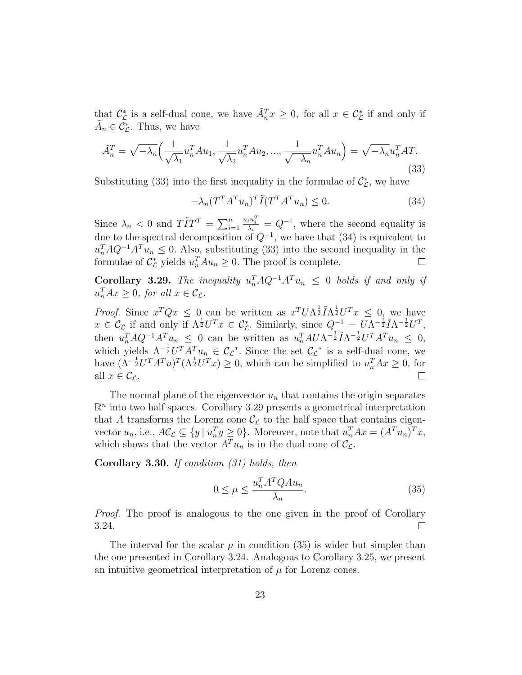that  $\mathcal{C}_{\mathcal{L}}^*$  is a self-dual cone, we have  $\tilde{A}_n^T x \geq 0$ , for all  $x \in \mathcal{C}_{\mathcal{L}}^*$  if and only if  $\tilde{A}_n \in \tilde{C}_\mathcal{L}^*$ . Thus, we have

$$
\tilde{A}_n^T = \sqrt{-\lambda_n} \Big( \frac{1}{\sqrt{\lambda_1}} u_n^T A u_1, \frac{1}{\sqrt{\lambda_2}} u_n^T A u_2, \dots, \frac{1}{\sqrt{-\lambda_n}} u_n^T A u_n \Big) = \sqrt{-\lambda_n} u_n^T A T. \tag{33}
$$

Substituting (33) into the first inequality in the formulae of  $\mathcal{C}_{\mathcal{L}}^{*}$ , we have

$$
-\lambda_n (T^T A^T u_n)^T \tilde{I} (T^T A^T u_n) \le 0. \tag{34}
$$

 $\frac{u_i u_i^T}{\lambda_i} = Q^{-1}$ , where the second equality is Since  $\lambda_n < 0$  and  $T\tilde{I}T^T = \sum_{i=1}^n$ due to the spectral decomposition of  $Q^{-1}$ , we have that (34) is equivalent to  $u_n^T A Q^{-1} A^T u_n \leq 0$ . Also, substituting (33) into the second inequality in the formulae of  $C_{\mathcal{L}}^*$  yields  $u_n^T A u_n \geq 0$ . The proof is complete.  $\Box$ 

**Corollary 3.29.** The inequality  $u_n^T A Q^{-1} A^T u_n \leq 0$  holds if and only if  $u_n^T A x \geq 0$ , for all  $x \in \mathcal{C}_{\mathcal{L}}$ .

*Proof.* Since  $x^T Q x \leq 0$  can be written as  $x^T U \Lambda^{\frac{1}{2}} \tilde{I} \Lambda^{\frac{1}{2}} U^T x \leq 0$ , we have  $x \in \mathcal{C}_{\mathcal{L}}$  if and only if  $\Lambda^{\frac{1}{2}}U^{T}x \in \mathcal{C}_{\mathcal{L}}^{*}$ . Similarly, since  $Q^{-1} = U\Lambda^{-\frac{1}{2}}\tilde{I}\Lambda^{-\frac{1}{2}}U^{T}$ , then  $u_n^T A Q^{-1} A^T u_n \leq 0$  can be written as  $u_n^T A U \Lambda^{-\frac{1}{2}} \tilde{I} \Lambda^{-\frac{1}{2}} U^T A^T u_n \leq 0$ , which yields  $\Lambda^{-\frac{1}{2}}U^T A^T u_n \in \mathcal{C}_{\mathcal{L}}^*$ . Since the set  $\mathcal{C}_{\mathcal{L}}^*$  is a self-dual cone, we have  $(\Lambda^{-\frac{1}{2}}U^T A^T u)^T (\Lambda^{\frac{1}{2}}U^T x) \geq 0$ , which can be simplified to  $u_n^T A x \geq 0$ , for all  $x \in \mathcal{C}_{\mathcal{L}}$ .  $\Box$ 

The normal plane of the eigenvector  $u_n$  that contains the origin separates  $\mathbb{R}^n$  into two half spaces. Corollary 3.29 presents a geometrical interpretation that A transforms the Lorenz cone  $\mathcal{C}_{\mathcal{L}}$  to the half space that contains eigenvector  $u_n$ , i.e.,  $A\mathcal{C}_{\mathcal{L}} \subseteq \{y \mid u_n^T y \ge 0\}$ . Moreover, note that  $u_n^T A x = (A^T u_n)^T x$ , which shows that the vector  $A^T u_n$  is in the dual cone of  $\mathcal{C}_{\mathcal{L}}$ .

Corollary 3.30. If condition (31) holds, then

$$
0 \le \mu \le \frac{u_n^T A^T Q A u_n}{\lambda_n}.
$$
\n(35)

Proof. The proof is analogous to the one given in the proof of Corollary 3.24.  $\Box$ 

The interval for the scalar  $\mu$  in condition (35) is wider but simpler than the one presented in Corollary 3.24. Analogous to Corollary 3.25, we present an intuitive geometrical interpretation of  $\mu$  for Lorenz cones.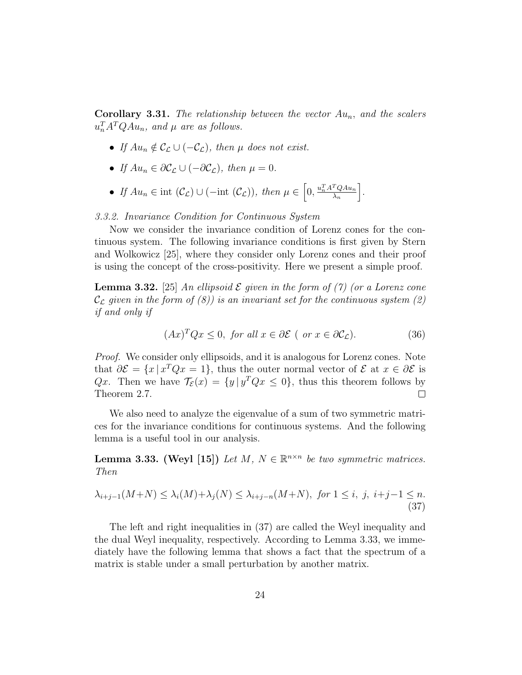**Corollary 3.31.** The relationship between the vector  $Au_n$ , and the scalers  $u_n^T A^T Q A u_n$ , and  $\mu$  are as follows.

- If  $Au_n \notin \mathcal{C}_{\mathcal{L}} \cup (-\mathcal{C}_{\mathcal{L}})$ , then  $\mu$  does not exist.
- If  $Au_n \in \partial \mathcal{C}_{\mathcal{L}} \cup (-\partial \mathcal{C}_{\mathcal{L}})$ , then  $\mu = 0$ .
- If  $Au_n \in \text{int } (\mathcal{C}_{\mathcal{L}}) \cup (-\text{int }(\mathcal{C}_{\mathcal{L}}))$ , then  $\mu \in \left[0, \frac{u_n^T A^T Q A u_n}{\lambda_n}\right]$  $\lambda_n$ i .

# 3.3.2. Invariance Condition for Continuous System

Now we consider the invariance condition of Lorenz cones for the continuous system. The following invariance conditions is first given by Stern and Wolkowicz [25], where they consider only Lorenz cones and their proof is using the concept of the cross-positivity. Here we present a simple proof.

**Lemma 3.32.** [25] An ellipsoid  $\mathcal E$  given in the form of (7) (or a Lorenz cone  $\mathcal{C}_{\mathcal{L}}$  given in the form of (8)) is an invariant set for the continuous system (2) if and only if

$$
(Ax)^{T}Qx \le 0, \text{ for all } x \in \partial \mathcal{E} \text{ ( or } x \in \partial \mathcal{C}_{\mathcal{L}}). \tag{36}
$$

Proof. We consider only ellipsoids, and it is analogous for Lorenz cones. Note that  $\partial \mathcal{E} = \{x \mid x^T Q x = 1\}$ , thus the outer normal vector of  $\mathcal{E}$  at  $x \in \partial \mathcal{E}$  is Qx. Then we have  $\mathcal{T}_{\mathcal{E}}(x) = \{y \mid y^T Q x \leq 0\}$ , thus this theorem follows by Theorem 2.7.  $\Box$ 

We also need to analyze the eigenvalue of a sum of two symmetric matrices for the invariance conditions for continuous systems. And the following lemma is a useful tool in our analysis.

**Lemma 3.33. (Weyl [15])** Let M,  $N \in \mathbb{R}^{n \times n}$  be two symmetric matrices. Then

$$
\lambda_{i+j-1}(M+N) \leq \lambda_i(M) + \lambda_j(N) \leq \lambda_{i+j-n}(M+N), \text{ for } 1 \leq i, j, i+j-1 \leq n. \tag{37}
$$

The left and right inequalities in (37) are called the Weyl inequality and the dual Weyl inequality, respectively. According to Lemma 3.33, we immediately have the following lemma that shows a fact that the spectrum of a matrix is stable under a small perturbation by another matrix.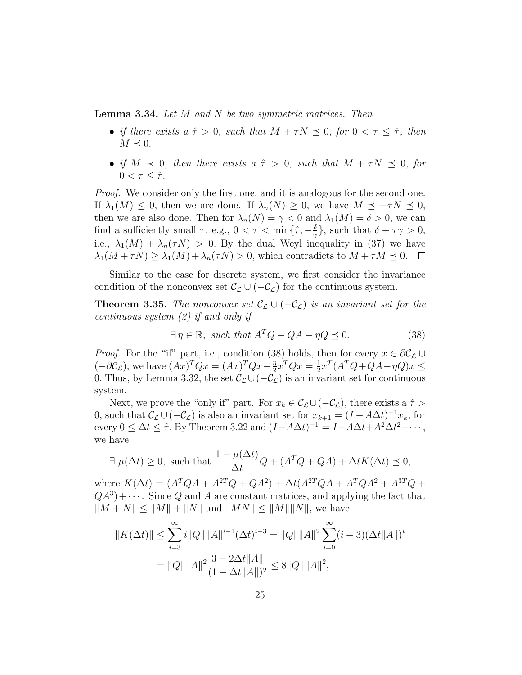**Lemma 3.34.** Let  $M$  and  $N$  be two symmetric matrices. Then

- if there exists  $a \hat{\tau} > 0$ , such that  $M + \tau N \preceq 0$ , for  $0 < \tau \leq \hat{\tau}$ , then  $M \preceq 0.$
- if  $M \prec 0$ , then there exists  $a \hat{\tau} > 0$ , such that  $M + \tau N \preceq 0$ , for  $0 < \tau < \hat{\tau}$ .

Proof. We consider only the first one, and it is analogous for the second one. If  $\lambda_1(M) \leq 0$ , then we are done. If  $\lambda_n(N) \geq 0$ , we have  $M \preceq -\tau N \preceq 0$ , then we are also done. Then for  $\lambda_n(N) = \gamma < 0$  and  $\lambda_1(M) = \delta > 0$ , we can find a sufficiently small  $\tau$ , e.g.,  $0 < \tau < \min\{\hat{\tau}, -\frac{\delta}{\alpha}\}$  $\frac{\delta}{\gamma}$ , such that  $\delta + \tau \gamma > 0$ , i.e.,  $\lambda_1(M) + \lambda_n(\tau N) > 0$ . By the dual Weyl inequality in (37) we have  $\lambda_1(M+\tau N) \geq \lambda_1(M) + \lambda_n(\tau N) > 0$ , which contradicts to  $M + \tau M \leq 0$ .  $\Box$ 

Similar to the case for discrete system, we first consider the invariance condition of the nonconvex set  $\mathcal{C}_{\mathcal{L}} \cup (-\mathcal{C}_{\mathcal{L}})$  for the continuous system.

**Theorem 3.35.** The nonconvex set  $\mathcal{C}_{\mathcal{L}} \cup (-\mathcal{C}_{\mathcal{L}})$  is an invariant set for the continuous system (2) if and only if

$$
\exists \eta \in \mathbb{R}, \text{ such that } A^T Q + QA - \eta Q \preceq 0. \tag{38}
$$

*Proof.* For the "if" part, i.e., condition (38) holds, then for every  $x \in \partial C_{\mathcal{L}} \cup$  $(-\partial \mathcal{C}_{\mathcal{L}}),$  we have  $(Ax)^TQx = (Ax)^TQx - \frac{\eta}{2}$  $\frac{\eta}{2}x^TQx=\frac{1}{2}$  $\frac{1}{2}x^T(A^TQ+QA-\eta Q)x \le$ 0. Thus, by Lemma 3.32, the set  $\mathcal{C}_{\mathcal{L}} \cup (-\mathcal{C}_{\mathcal{L}})$  is an invariant set for continuous system.

Next, we prove the "only if" part. For  $x_k \in C_{\mathcal{L}} \cup (-C_{\mathcal{L}})$ , there exists a  $\hat{\tau}$ 0, such that  $\mathcal{C}_{\mathcal{L}} \cup (-\mathcal{C}_{\mathcal{L}})$  is also an invariant set for  $x_{k+1} = (I - A\Delta t)^{-1}x_k$ , for every  $0 \leq \Delta t \leq \hat{\tau}$ . By Theorem 3.22 and  $(I - A\Delta t)^{-1} = I + A\Delta t + A^2 \Delta t^2 + \cdots$ , we have

$$
\exists \ \mu(\Delta t) \ge 0
$$
, such that  $\frac{1 - \mu(\Delta t)}{\Delta t}Q + (A^T Q + QA) + \Delta t K(\Delta t) \le 0$ ,

where  $K(\Delta t) = (A^T Q A + A^{2T} Q + Q A^2) + \Delta t (A^{2T} Q A + A^{T} Q A^2 + A^{3T} Q +$  $(QA<sup>3</sup>) + \cdots$ . Since Q and A are constant matrices, and applying the fact that  $||M + N|| \le ||M|| + ||N||$  and  $||MN|| \le ||M|| ||N||$ , we have

$$
||K(\Delta t)|| \le \sum_{i=3}^{\infty} i||Q|| ||A||^{i-1} (\Delta t)^{i-3} = ||Q|| ||A||^2 \sum_{i=0}^{\infty} (i+3)(\Delta t ||A||)^i
$$
  
= 
$$
||Q|| ||A||^2 \frac{3 - 2\Delta t ||A||}{(1 - \Delta t ||A||)^2} \le 8 ||Q|| ||A||^2,
$$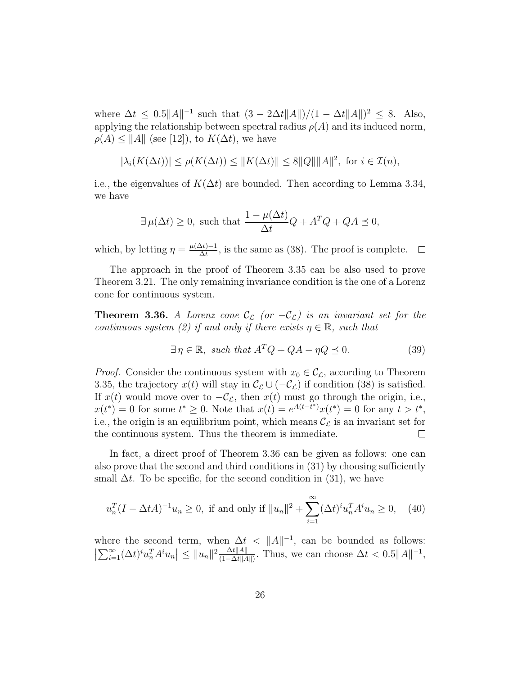where  $\Delta t \leq 0.5||A||^{-1}$  such that  $(3 - 2\Delta t ||A||)/(1 - \Delta t ||A||)^2 \leq 8$ . Also, applying the relationship between spectral radius  $\rho(A)$  and its induced norm,  $\rho(A) \leq ||A||$  (see [12]), to  $K(\Delta t)$ , we have

$$
|\lambda_i(K(\Delta t))| \le \rho(K(\Delta t)) \le ||K(\Delta t)|| \le 8||Q|| ||A||^2, \text{ for } i \in \mathcal{I}(n),
$$

i.e., the eigenvalues of  $K(\Delta t)$  are bounded. Then according to Lemma 3.34, we have

$$
\exists \,\mu(\Delta t) \ge 0, \text{ such that } \frac{1 - \mu(\Delta t)}{\Delta t} Q + A^T Q + QA \le 0,
$$

which, by letting  $\eta = \frac{\mu(\Delta t) - 1}{\Delta t}$  $\frac{\Delta t}{\Delta t}$ , is the same as (38). The proof is complete.  $\Box$ 

The approach in the proof of Theorem 3.35 can be also used to prove Theorem 3.21. The only remaining invariance condition is the one of a Lorenz cone for continuous system.

**Theorem 3.36.** A Lorenz cone  $\mathcal{C}_{\mathcal{L}}$  (or  $-\mathcal{C}_{\mathcal{L}}$ ) is an invariant set for the continuous system (2) if and only if there exists  $\eta \in \mathbb{R}$ , such that

$$
\exists \eta \in \mathbb{R}, \text{ such that } A^T Q + QA - \eta Q \preceq 0. \tag{39}
$$

*Proof.* Consider the continuous system with  $x_0 \in C_c$ , according to Theorem 3.35, the trajectory  $x(t)$  will stay in  $\mathcal{C}_{\mathcal{L}} \cup (-\mathcal{C}_{\mathcal{L}})$  if condition (38) is satisfied. If  $x(t)$  would move over to  $-\mathcal{C}_{\mathcal{L}}$ , then  $x(t)$  must go through the origin, i.e.,  $x(t^*) = 0$  for some  $t^* \geq 0$ . Note that  $x(t) = e^{A(t-t^*)}x(t^*) = 0$  for any  $t > t^*$ , i.e., the origin is an equilibrium point, which means  $\mathcal{C}_{\mathcal{L}}$  is an invariant set for the continuous system. Thus the theorem is immediate.  $\Box$ 

In fact, a direct proof of Theorem 3.36 can be given as follows: one can also prove that the second and third conditions in (31) by choosing sufficiently small  $\Delta t$ . To be specific, for the second condition in (31), we have

$$
u_n^T (I - \Delta t A)^{-1} u_n \ge 0, \text{ if and only if } ||u_n||^2 + \sum_{i=1}^{\infty} (\Delta t)^i u_n^T A^i u_n \ge 0, \quad (40)
$$

where the second term, when  $\Delta t < ||A||^{-1}$ , can be bounded as follows:  $\left|\sum_{i=1}^{\infty}(\Delta t)^{i}u_{n}^{T}A^{i}u_{n}\right|\leq\|u_{n}\|^{2}\frac{\Delta t\|A\|}{(1-\Delta t\|A\|)}$  $\frac{\Delta t ||A||}{(1-\Delta t ||A||)}$ . Thus, we can choose  $\Delta t < 0.5 ||A||^{-1}$ ,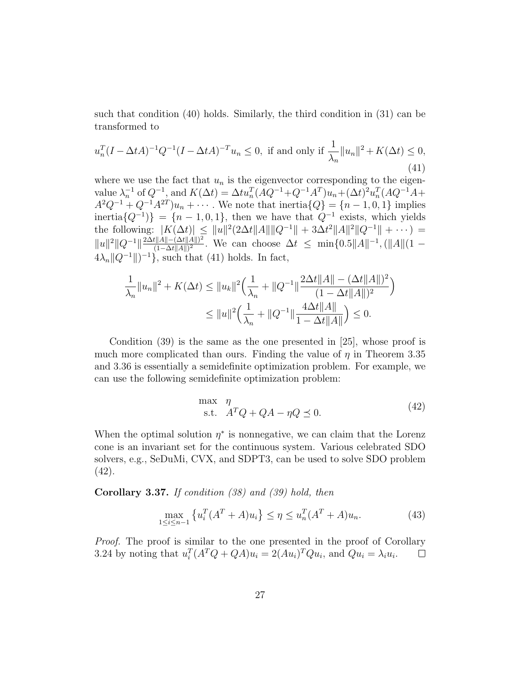such that condition (40) holds. Similarly, the third condition in (31) can be transformed to

$$
u_n^T (I - \Delta t A)^{-1} Q^{-1} (I - \Delta t A)^{-T} u_n \le 0, \text{ if and only if } \frac{1}{\lambda_n} \|u_n\|^2 + K(\Delta t) \le 0,
$$
\n(41)

where we use the fact that  $u_n$  is the eigenvector corresponding to the eigenvalue  $\lambda_n^{-1}$  of  $Q^{-1}$ , and  $K(\Delta t) = \Delta t u_n^T (AQ^{-1} + Q^{-1}A^T) u_n + (\Delta t)^2 u_n^T (AQ^{-1}A +$  $A^2Q^{-1} + Q^{-1}A^{2T}$ ) $u_n + \cdots$ . We note that inertia $\{Q\} = \{n-1, 0, 1\}$  implies inertia $\{Q^{-1}\}\} = \{n-1,0,1\}$ , then we have that  $Q^{-1}$  exists, which yields the following:  $|K(\Delta t)| \leq ||u||^2 (2\Delta t ||A|| ||Q^{-1}|| + 3\Delta t^2 ||A||^2 ||Q^{-1}|| + \cdots) =$  $||u||^2 ||Q^{-1}|| \frac{2\Delta t ||A|| - (\Delta t ||A||)^2}{(1-\Delta t ||A||)^2}$  $\frac{t||A||-(\Delta t||A||)^2}{(1-\Delta t||A||)^2}$ . We can choose  $\Delta t \leq \min\{0.5||A||^{-1}, (||A||(1-\Delta t||A||)^2)\}$  $4\lambda_n ||Q^{-1}||^{-1}$ , such that (41) holds. In fact,

$$
\frac{1}{\lambda_n} \|u_n\|^2 + K(\Delta t) \le \|u_k\|^2 \Big(\frac{1}{\lambda_n} + \|Q^{-1}\| \frac{2\Delta t \|A\| - (\Delta t \|A\|)^2}{(1 - \Delta t \|A\|)^2}\Big)
$$
  

$$
\le \|u\|^2 \Big(\frac{1}{\lambda_n} + \|Q^{-1}\| \frac{4\Delta t \|A\|}{1 - \Delta t \|A\|}\Big) \le 0.
$$

Condition (39) is the same as the one presented in [25], whose proof is much more complicated than ours. Finding the value of  $\eta$  in Theorem 3.35 and 3.36 is essentially a semidefinite optimization problem. For example, we can use the following semidefinite optimization problem:

$$
\begin{array}{ll}\n\max & \eta\\
\text{s.t.} & A^T Q + QA - \eta Q \preceq 0.\n\end{array} \tag{42}
$$

When the optimal solution  $\eta^*$  is nonnegative, we can claim that the Lorenz cone is an invariant set for the continuous system. Various celebrated SDO solvers, e.g., SeDuMi, CVX, and SDPT3, can be used to solve SDO problem (42).

Corollary 3.37. If condition (38) and (39) hold, then

$$
\max_{1 \le i \le n-1} \left\{ u_i^T (A^T + A) u_i \right\} \le \eta \le u_n^T (A^T + A) u_n. \tag{43}
$$

Proof. The proof is similar to the one presented in the proof of Corollary 3.24 by noting that  $u_i^T(A^T Q + QA)u_i = 2(Au_i)^T Qu_i$ , and  $Qu_i = \lambda_i u_i$ .  $\Box$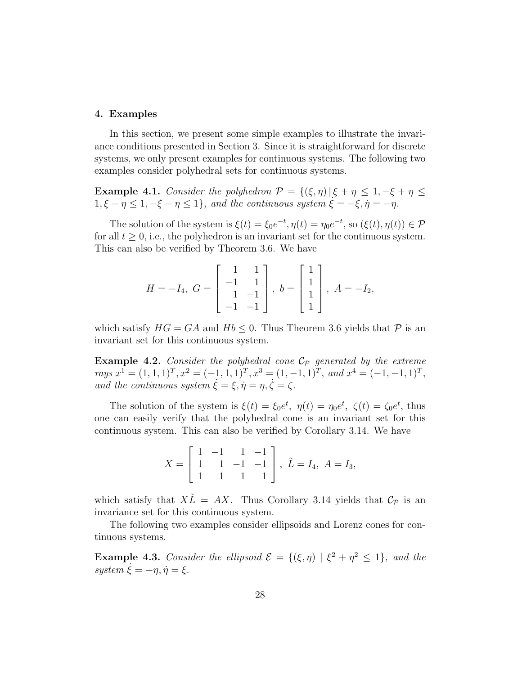#### 4. Examples

In this section, we present some simple examples to illustrate the invariance conditions presented in Section 3. Since it is straightforward for discrete systems, we only present examples for continuous systems. The following two examples consider polyhedral sets for continuous systems.

**Example 4.1.** Consider the polyhedron  $\mathcal{P} = \{(\xi, \eta) | \xi + \eta \leq 1, -\xi + \eta \leq 1\}$  $1, \xi - \eta \leq 1, -\xi - \eta \leq 1$ , and the continuous system  $\xi = -\xi, \eta = -\eta$ .

The solution of the system is  $\xi(t) = \xi_0 e^{-t}$ ,  $\eta(t) = \eta_0 e^{-t}$ , so  $(\xi(t), \eta(t)) \in \mathcal{P}$ for all  $t \geq 0$ , i.e., the polyhedron is an invariant set for the continuous system. This can also be verified by Theorem 3.6. We have

$$
H = -I_4, \ G = \begin{bmatrix} 1 & 1 \\ -1 & 1 \\ 1 & -1 \\ -1 & -1 \end{bmatrix}, \ b = \begin{bmatrix} 1 \\ 1 \\ 1 \\ 1 \end{bmatrix}, \ A = -I_2,
$$

which satisfy  $HG = GA$  and  $Hb \leq 0$ . Thus Theorem 3.6 yields that  $\mathcal P$  is an invariant set for this continuous system.

**Example 4.2.** Consider the polyhedral cone  $\mathcal{C}_p$  generated by the extreme rays  $x^1 = (1, 1, 1)^T, x^2 = (-1, 1, 1)^T, x^3 = (1, -1, 1)^T,$  and  $x^4 = (-1, -1, 1)^T$ , and the continuous system  $\dot{\xi} = \xi, \dot{\eta} = \eta, \dot{\zeta} = \zeta.$ 

The solution of the system is  $\xi(t) = \xi_0 e^t$ ,  $\eta(t) = \eta_0 e^t$ ,  $\zeta(t) = \zeta_0 e^t$ , thus one can easily verify that the polyhedral cone is an invariant set for this continuous system. This can also be verified by Corollary 3.14. We have

$$
X = \begin{bmatrix} 1 & -1 & 1 & -1 \\ 1 & 1 & -1 & -1 \\ 1 & 1 & 1 & 1 \end{bmatrix}, \ \tilde{L} = I_4, \ A = I_3,
$$

which satisfy that  $X\tilde{L} = AX$ . Thus Corollary 3.14 yields that  $\mathcal{C}_{\mathcal{P}}$  is an invariance set for this continuous system.

The following two examples consider ellipsoids and Lorenz cones for continuous systems.

**Example 4.3.** Consider the ellipsoid  $\mathcal{E} = \{(\xi, \eta) | \xi^2 + \eta^2 \leq 1\}$ , and the system  $\dot{\xi} = -\eta, \dot{\eta} = \xi$ .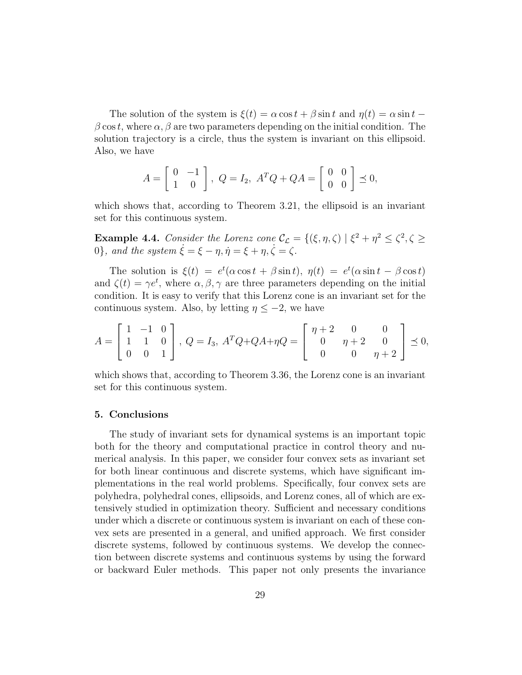The solution of the system is  $\xi(t) = \alpha \cos t + \beta \sin t$  and  $\eta(t) = \alpha \sin t - \beta \sin t$  $\beta \cos t$ , where  $\alpha, \beta$  are two parameters depending on the initial condition. The solution trajectory is a circle, thus the system is invariant on this ellipsoid. Also, we have

$$
A = \begin{bmatrix} 0 & -1 \\ 1 & 0 \end{bmatrix}, \ Q = I_2, \ A^T Q + Q A = \begin{bmatrix} 0 & 0 \\ 0 & 0 \end{bmatrix} \preceq 0,
$$

which shows that, according to Theorem 3.21, the ellipsoid is an invariant set for this continuous system.

**Example 4.4.** Consider the Lorenz cone  $\mathcal{C}_{\mathcal{L}} = \{(\xi, \eta, \zeta) \mid \xi^2 + \eta^2 \leq \zeta^2, \zeta \geq \zeta^2\}$ 0}, and the system  $\dot{\xi} = \xi - \eta, \dot{\eta} = \xi + \eta, \dot{\zeta} = \zeta$ .

The solution is  $\xi(t) = e^t(\alpha \cos t + \beta \sin t), \eta(t) = e^t(\alpha \sin t - \beta \cos t)$ and  $\zeta(t) = \gamma e^t$ , where  $\alpha, \beta, \gamma$  are three parameters depending on the initial condition. It is easy to verify that this Lorenz cone is an invariant set for the continuous system. Also, by letting  $\eta \leq -2$ , we have

$$
A = \begin{bmatrix} 1 & -1 & 0 \\ 1 & 1 & 0 \\ 0 & 0 & 1 \end{bmatrix}, Q = I_3, A^T Q + QA + \eta Q = \begin{bmatrix} \eta + 2 & 0 & 0 \\ 0 & \eta + 2 & 0 \\ 0 & 0 & \eta + 2 \end{bmatrix} \preceq 0,
$$

which shows that, according to Theorem 3.36, the Lorenz cone is an invariant set for this continuous system.

### 5. Conclusions

The study of invariant sets for dynamical systems is an important topic both for the theory and computational practice in control theory and numerical analysis. In this paper, we consider four convex sets as invariant set for both linear continuous and discrete systems, which have significant implementations in the real world problems. Specifically, four convex sets are polyhedra, polyhedral cones, ellipsoids, and Lorenz cones, all of which are extensively studied in optimization theory. Sufficient and necessary conditions under which a discrete or continuous system is invariant on each of these convex sets are presented in a general, and unified approach. We first consider discrete systems, followed by continuous systems. We develop the connection between discrete systems and continuous systems by using the forward or backward Euler methods. This paper not only presents the invariance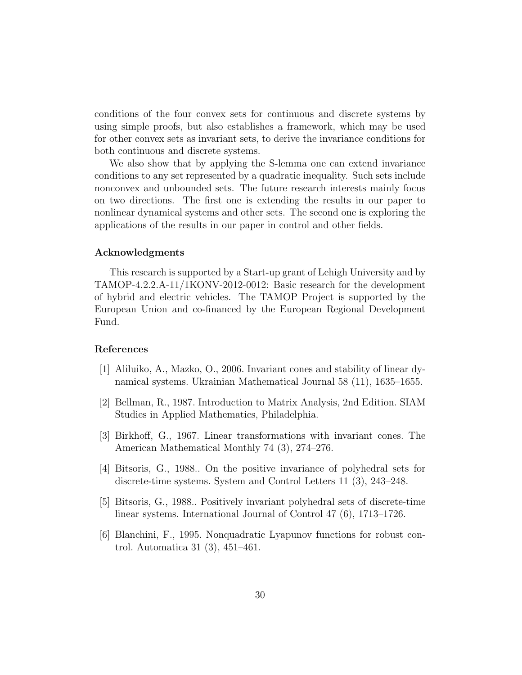conditions of the four convex sets for continuous and discrete systems by using simple proofs, but also establishes a framework, which may be used for other convex sets as invariant sets, to derive the invariance conditions for both continuous and discrete systems.

We also show that by applying the S-lemma one can extend invariance conditions to any set represented by a quadratic inequality. Such sets include nonconvex and unbounded sets. The future research interests mainly focus on two directions. The first one is extending the results in our paper to nonlinear dynamical systems and other sets. The second one is exploring the applications of the results in our paper in control and other fields.

# Acknowledgments

This research is supported by a Start-up grant of Lehigh University and by TAMOP-4.2.2.A-11/1KONV-2012-0012: Basic research for the development of hybrid and electric vehicles. The TAMOP Project is supported by the European Union and co-financed by the European Regional Development Fund.

## References

- [1] Aliluiko, A., Mazko, O., 2006. Invariant cones and stability of linear dynamical systems. Ukrainian Mathematical Journal 58 (11), 1635–1655.
- [2] Bellman, R., 1987. Introduction to Matrix Analysis, 2nd Edition. SIAM Studies in Applied Mathematics, Philadelphia.
- [3] Birkhoff, G., 1967. Linear transformations with invariant cones. The American Mathematical Monthly 74 (3), 274–276.
- [4] Bitsoris, G., 1988.. On the positive invariance of polyhedral sets for discrete-time systems. System and Control Letters 11 (3), 243–248.
- [5] Bitsoris, G., 1988.. Positively invariant polyhedral sets of discrete-time linear systems. International Journal of Control 47 (6), 1713–1726.
- [6] Blanchini, F., 1995. Nonquadratic Lyapunov functions for robust control. Automatica 31 (3), 451–461.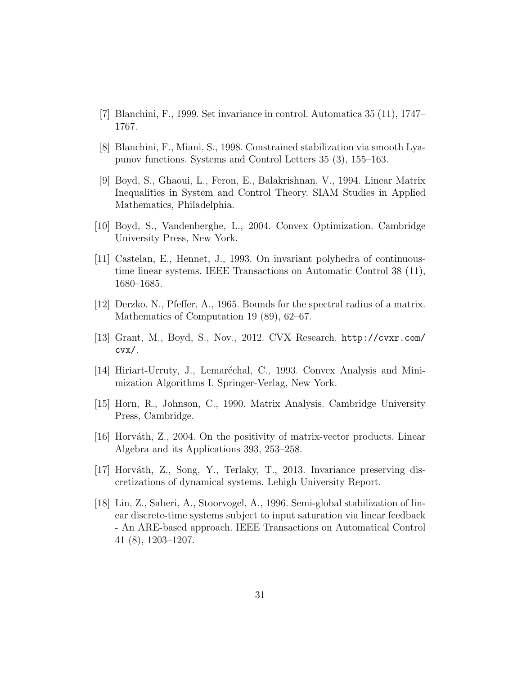- [7] Blanchini, F., 1999. Set invariance in control. Automatica 35 (11), 1747– 1767.
- [8] Blanchini, F., Miani, S., 1998. Constrained stabilization via smooth Lyapunov functions. Systems and Control Letters 35 (3), 155–163.
- [9] Boyd, S., Ghaoui, L., Feron, E., Balakrishnan, V., 1994. Linear Matrix Inequalities in System and Control Theory. SIAM Studies in Applied Mathematics, Philadelphia.
- [10] Boyd, S., Vandenberghe, L., 2004. Convex Optimization. Cambridge University Press, New York.
- [11] Castelan, E., Hennet, J., 1993. On invariant polyhedra of continuoustime linear systems. IEEE Transactions on Automatic Control 38 (11), 1680–1685.
- [12] Derzko, N., Pfeffer, A., 1965. Bounds for the spectral radius of a matrix. Mathematics of Computation 19 (89), 62–67.
- [13] Grant, M., Boyd, S., Nov., 2012. CVX Research. http://cvxr.com/ cvx/.
- [14] Hiriart-Urruty, J., Lemaréchal, C., 1993. Convex Analysis and Minimization Algorithms I. Springer-Verlag, New York.
- [15] Horn, R., Johnson, C., 1990. Matrix Analysis. Cambridge University Press, Cambridge.
- [16] Horváth, Z., 2004. On the positivity of matrix-vector products. Linear Algebra and its Applications 393, 253–258.
- [17] Horváth, Z., Song, Y., Terlaky, T., 2013. Invariance preserving discretizations of dynamical systems. Lehigh University Report.
- [18] Lin, Z., Saberi, A., Stoorvogel, A., 1996. Semi-global stabilization of linear discrete-time systems subject to input saturation via linear feedback - An ARE-based approach. IEEE Transactions on Automatical Control 41 (8), 1203–1207.